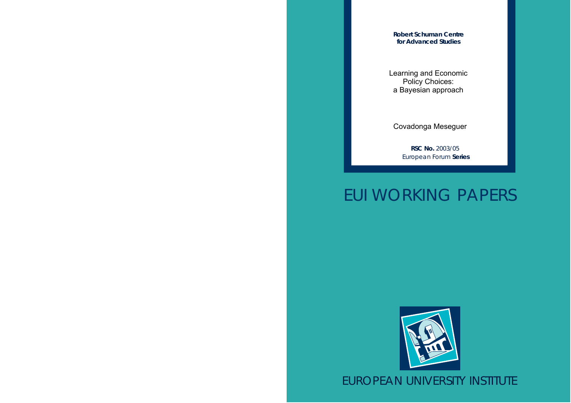**Robert Schuman Centre for Advanced Studies**

Learning and Economic Policy Choices: a Bayesian approach

Covadonga Meseguer

**RSC No.** 2003/05 European Forum **Series**

# EUI WORKING PAPERS



EUROPEAN UNIVERSITY INSTITUTE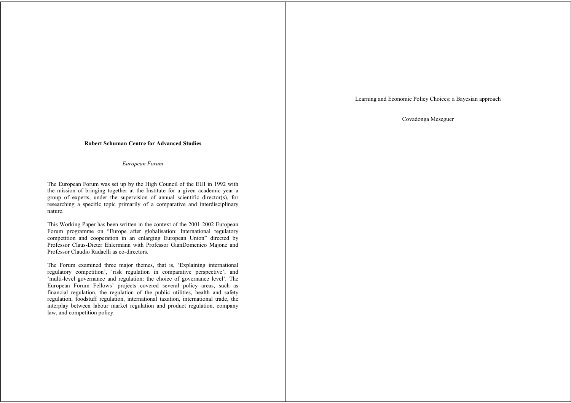Learning and Economic Policy Choices: a Bayesian approach

Covadonga Meseguer

## **Robert Schuman Centre for Advanced Studies**

*European Forum*

The European Forum was set up by the High Council of the EUI in 1992 with the mission of bringing together at the Institute for a given academic year a group of experts, under the supervision of annual scientific director(s), for researching a specific topic primarily of a comparative and interdisciplinary nature.

This Working Paper has been written in the context of the 2001-2002 European Forum programme on "Europe after globalisation: International regulatory competition and cooperation in an enlarging European Union" directed by Professor Claus-Dieter Ehlermann with Professor GianDomenico Majone and Professor Claudio Radaelli as co-directors.

The Forum examined three major themes, that is, 'Explaining international regulatory competition', 'risk regulation in comparative perspective', and 'multi-level governance and regulation: the choice of governance level'. The European Forum Fellows' projects covered several policy areas, such as financial regulation, the regulation of the public utilities, health and safety regulation, foodstuff regulation, international taxation, international trade, the interplay between labour market regulation and product regulation, company law, and competition policy.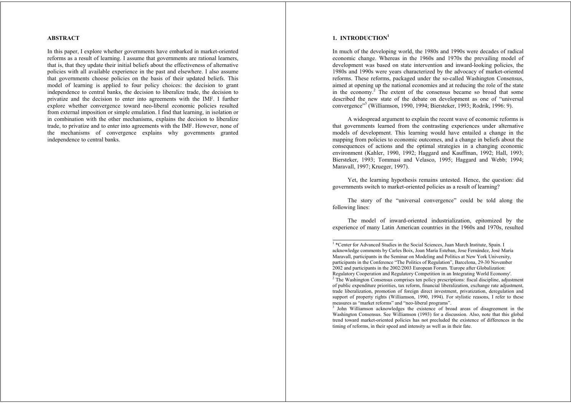## **ABSTRACT**

In this paper, I explore whether governments have embarked in market-oriented reforms as a result of learning. I assume that governments are rational learners, that is, that they update their initial beliefs about the effectiveness of alternative policies with all available experience in the past and elsewhere. I also assume that governments choose policies on the basis of their updated beliefs. This model of learning is applied to four policy choices: the decision to grant independence to central banks, the decision to liberalize trade, the decision to privatize and the decision to enter into agreements with the IMF. I further explore whether convergence toward neo-liberal economic policies resulted from external imposition or simple emulation. I find that learning, in isolation or in combination with the other mechanisms, explains the decision to liberalize trade, to privatize and to enter into agreements with the IMF. However, none of the mechanisms of convergence explains why governments granted independence to central banks.

## **1. INTRODUCTION<sup>1</sup>**

In much of the developing world, the 1980s and 1990s were decades of radical economic change. Whereas in the 1960s and 1970s the prevailing model of development was based on state intervention and inward-looking policies, the 1980s and 1990s were years characterized by the advocacy of market-oriented reforms. These reforms, packaged under the so-called Washington Consensus, aimed at opening up the national economies and at reducing the role of the state in the economy.<sup>2</sup> The extent of the consensus became so broad that some described the new state of the debate on development as one of "universal convergence"3 (Williamson, 1990, 1994; Biersteker, 1993; Rodrik, 1996: 9).

A widespread argument to explain the recent wave of economic reforms is that governments learned from the contrasting experiences under alternative models of development. This learning would have entailed a change in the mapping from policies to economic outcomes, and a change in beliefs about the consequences of actions and the optimal strategies in a changing economic environment (Kahler, 1990, 1992; Haggard and Kauffman, 1992; Hall, 1993; Biersteker, 1993; Tommasi and Velasco, 1995; Haggard and Webb; 1994; Maravall, 1997; Krueger, 1997).

Yet, the learning hypothesis remains untested. Hence, the question: did governments switch to market-oriented policies as a result of learning?

The story of the "universal convergence" could be told along the following lines:

The model of inward-oriented industrialization, epitomized by the experience of many Latin American countries in the 1960s and 1970s, resulted

<sup>&</sup>lt;sup>1</sup> \*Center for Advanced Studies in the Social Sciences, Juan March Institute, Spain. I acknowledge comments by Carles Boix, Joan María Esteban, Jose Fernández, José María Maravall, participants in the Seminar on Modeling and Politics at New York University, participants in the Conference "The Politics of Regulation", Barcelona, 29-30 November 2002 and participants in the 2002/2003 European Forum. 'Europe after Globalization: Regulatory Cooperation and Regulatory Competition in an Integrating World Economy'.

<sup>&</sup>lt;sup>2</sup> The Washington Consensus comprises ten policy prescriptions: fiscal discipline, adjustment of public expenditure priorities, tax reform, financial liberalization, exchange rate adjustment, trade liberalization, promotion of foreign direct investment, privatization, deregulation and support of property rights (Williamson, 1990, 1994). For stylistic reasons, I refer to these measures as "market reforms" and "neo-liberal programs".

<sup>&</sup>lt;sup>3</sup> John Williamson acknowledges the existence of broad areas of disagreement in the Washington Consensus. See Williamson (1993) for a discussion. Also, note that this global trend toward market-oriented policies has not precluded the existence of differences in the timing of reforms, in their speed and intensity as well as in their fate.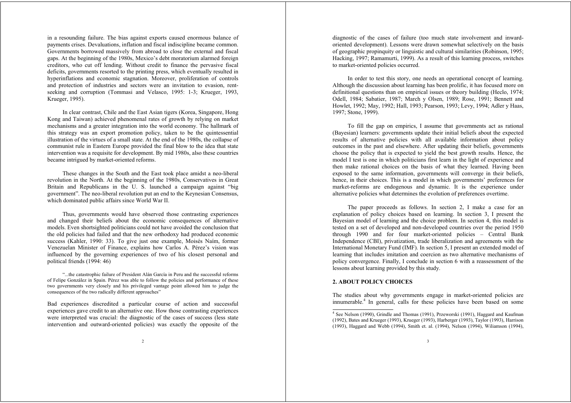in a resounding failure. The bias against exports caused enormous balance of payments crises. Devaluations, inflation and fiscal indiscipline became common. Governments borrowed massively from abroad to close the external and fiscal gaps. At the beginning of the 1980s, Mexico's debt moratorium alarmed foreign creditors, who cut off lending. Without credit to finance the pervasive fiscal deficits, governments resorted to the printing press, which eventually resulted in hyperinflations and economic stagnation. Moreover, proliferation of controls and protection of industries and sectors were an invitation to evasion, rentseeking and corruption (Tommasi and Velasco, 1995: 1-3; Krueger, 1993, Krueger, 1995).

In clear contrast, Chile and the East Asian tigers (Korea, Singapore, Hong Kong and Taiwan) achieved phenomenal rates of growth by relying on market mechanisms and a greater integration into the world economy. The hallmark of this strategy was an export promotion policy, taken to be the quintessential illustration of the virtues of a small state. At the end of the 1980s, the collapse of communist rule in Eastern Europe provided the final blow to the idea that state intervention was a requisite for development. By mid 1980s, also these countries became intrigued by market-oriented reforms.

These changes in the South and the East took place amidst a neo-liberal revolution in the North. At the beginning of the 1980s, Conservatives in Great Britain and Republicans in the U. S. launched a campaign against "big governmen<sup>t</sup>". The neo-liberal revolution put an end to the Keynesian Consensus, which dominated public affairs since World War II.

Thus, governments would have observed those contrasting experiences and changed their beliefs about the economic consequences of alternative models. Even shortsighted politicians could not have avoided the conclusion that the old policies had failed and that the new orthodoxy had produced economic success (Kahler, 1990: 33). To give just one example, Moisés Naím, former Venezuelan Minister of Finance, explains how Carlos A. Pérez's vision was influenced by the governing experiences of two of his closest personal and political friends (1994: 46)

"...the catastrophic failure of President Alán García in Peru and the successful reforms of Felipe González in Spain. Pérez was able to follow the policies and performance of these two governments very closely and his privileged vantage point allowed him to judge the consequences of the two radically different approaches"

Bad experiences discredited a particular course of action and successful experiences gave credit to an alternative one. How those contrasting experiences were interpreted was crucial: the diagnostic of the cases of success (less state intervention and outward-oriented policies) was exactly the opposite of the diagnostic of the cases of failure (too much state involvement and inwardoriented development). Lessons were drawn somewhat selectively on the basis of geographic propinquity or linguistic and cultural similarities (Robinson, 1995; Hacking, 1997; Ramamurti, 1999). As a result of this learning process, switches to market-oriented policies occurred.

In order to test this story, one needs an operational concept of learning. Although the discussion about learning has been prolific, it has focused more on definitional questions than on empirical issues or theory building (Heclo, 1974; Odell, 1984; Sabatier, 1987; March y Olsen, 1989; Rose, 1991; Bennett and Howlet, 1992; May, 1992; Hall, 1993; Pearson, 1993; Levy, 1994; Adler y Haas, 1997; Stone, 1999).

To fill the gap on empirics, I assume that governments act as rational (Bayesian) learners: governments update their initial beliefs about the expected results of alternative policies with all available information about policy outcomes in the past and elsewhere. After updating their beliefs, governments choose the policy that is expected to yield the best growth results. Hence, the model I test is one in which politicians first learn in the light of experience and then make rational choices on the basis of what they learned. Having been exposed to the same information, governments will converge in their beliefs, hence, in their choices. This is a model in which governments' preferences for market-reforms are endogenous and dynamic. It is the experience under alternative policies what determines the evolution of preferences overtime.

The paper proceeds as follows. In section 2, I make a case for an explanation of policy choices based on learning. In section 3, I present the Bayesian model of learning and the choice problem. In section 4, this model is tested on a set of developed and non-developed countries over the period 1950 through 1990 and for four market-oriented policies – Central Bank Independence (CBI), privatization, trade liberalization and agreements with the International Monetary Fund (IMF). In section 5, I present an extended model of learning that includes imitation and coercion as two alternative mechanisms of policy convergence. Finally, I conclude in section 6 with a reassessment of the lessons about learning provided by this study.

## **2. ABOUT POLICY CHOICES**

The studies about why governments engage in market-oriented policies are innumerable.4 In general, calls for these policies have been based on some

<sup>4</sup> See Nelson (1990), Grindle and Thomas (1991), Przeworski (1991), Haggard and Kaufman (1992), Bates and Krueger (1993), Krueger (1993), Harberger (1993), Taylor (1993), Harrison (1993), Haggard and Webb (1994), Smith et. al. (1994), Nelson (1994), Wiliamson (1994),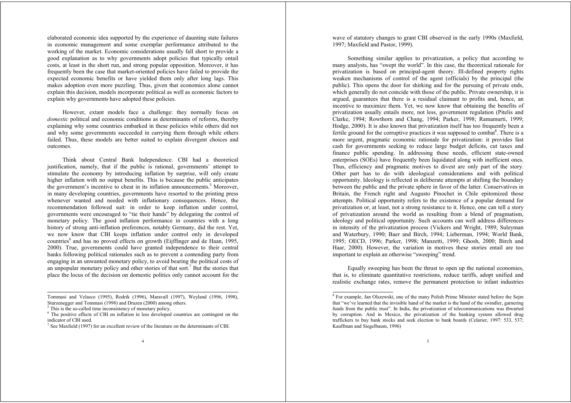elaborated economic idea supported by the experience of daunting state failures in economic management and some exemplar performance attributed to the working of the market. Economic considerations usually fall short to provide a good explanation as to why governments adopt policies that typically entail costs, at least in the short run, and strong popular opposition. Moreover, it has frequently been the case that market-oriented policies have failed to provide the expected economic benefits or have yielded them only after long lags. This makes adoption even more puzzling. Thus, given that economics alone cannot explain this decision, models incorporate political as well as economic factors to explain why governments have adopted these policies.

However, extant models face a challenge: they normally focus on *domestic* political and economic conditions as determinants of reforms, thereby explaining why some countries embarked in these policies while others did not and why some governments succeeded in carrying them through while others failed. Thus, these models are better suited to explain divergent choices and outcomes.

Think about Central Bank Independence. CBI had a theoretical justification, namely, that if the public is rational, governments' attempt to stimulate the economy by introducing inflation by surprise, will only create higher inflation with no output benefits. This is because the public anticipates the government's incentive to cheat in its inflation announcements.<sup>5</sup> Moreover, in many developing countries, governments have resorted to the printing press whenever wanted and needed with inflationary consequences. Hence, the recommendation followed suit: in order to keep inflation under control, governments were encouraged to "tie their hands" by delegating the control of monetary policy. The good inflation performance in countries with a long history of strong anti-inflation preferences, notably Germany, did the rest. Yet, we now know that CBI keeps inflation under control only in developed countries<sup>6</sup> and has no proved effects on growth (Eijffinger and de Haan,  $1995$ , 2000). True, governments could have granted independence to their central banks following political rationales such as to prevent a contending party from engaging in an unwanted monetary policy, to avoid bearing the political costs of an unpopular monetary policy and other stories of that sort.<sup>7</sup> But the stories that place the locus of the decision on domestic politics only cannot account for the

Tommasi and Velasco (1995), Rodrik (1996), Maravall (1997), Weyland (1996, 1998), Sturzenegger and Tommasi (1998) and Drazen (2000) among others.

4

wave of statutory changes to grant CBI observed in the early 1990s (Maxfield, 1997; Maxfield and Pastor, 1999).

Something similar applies to privatization, a policy that according to many analysts, has "swept the world". In this case, the theoretical rationale for privatization is based on principal-agent theory. Ill-defined property rights weaken mechanisms of control of the agent (officials) by the principal (the public). This opens the door for shirking and for the pursuing of private ends, which generally do not coincide with those of the public. Private ownership, it is argued, guarantees that there is a residual claimant to profits and, hence, an incentive to maximize them. Yet, we now know that obtaining the benefits of privatization usually entails more, not less, government regulation (Pitelis and Clarke, 1994; Rowthorn and Chang, 1994; Parker, 1998; Ramamurti, 1999; Hodge, 2000). It is also known that privatization itself has too frequently been a fertile ground for the corruptive practices it was supposed to combat<sup>8</sup>. There is a more urgent, pragmatic economic rationale for privatization: it provides fast cash for governments seeking to reduce large budget deficits, cut taxes and finance public spending. In addressing these needs, efficient state-owned enterprises (SOEs) have frequently been liquidated along with inefficient ones. Thus, efficiency and pragmatic motives to divest are only part of the story. Other part has to do with ideological considerations and with political opportunity. Ideology is reflected in deliberate attempts at shifting the boundary between the public and the private sphere in favor of the latter. Conservatives in Britain, the French right and Augusto Pinochet in Chile epitomized those attempts. Political opportunity refers to the existence of a popular demand for privatization or, at least, not a strong resistance to it. Hence, one can tell a story of privatization around the world as resulting from a blend of pragmatism, ideology and political opportunity. Such accounts can well address differences in intensity of the privatization process (Vickers and Wright, 1989; Suleyman and Waterbury, 1990; Baer and Birch, 1994; Lieberman, 1994; World Bank, 1995; OECD, 1996; Parker, 1998; Manzetti, 1999; Ghosh, 2000; Birch and Haar, 2000). However, the variation in motives these stories entail are too important to explain an otherwise "sweeping" trend.

Equally sweeping has been the thrust to open up the national economies, that is, to eliminate quantitative restrictions, reduce tariffs, adopt unified and realistic exchange rates, remove the permanent protection to infant industries

<sup>&</sup>lt;sup>5</sup> This is the so-called time inconsistency of monetary policy.

<sup>6</sup> The positive effects of CBI on inflation in less developed countries are contingent on the indicator of CBI used.

See Maxfield (1997) for an excellent review of the literature on the determinants of CBI.

<sup>8</sup> For example, Jan Olszewski, one of the many Polish Prime Minister stated before the Sejm that "we've learned that the invisible hand of the market is the hand of the swindler, garnering funds from the public trust". In India, the privatization of telecommunications was thwarted by corruption. And in Mexico, the privatization of the banking system allowed drug traffickers to buy bank stocks and seek election to bank boards (Celarier, 1997: 533, 537; Kauffman and Siegelbaum, 1996)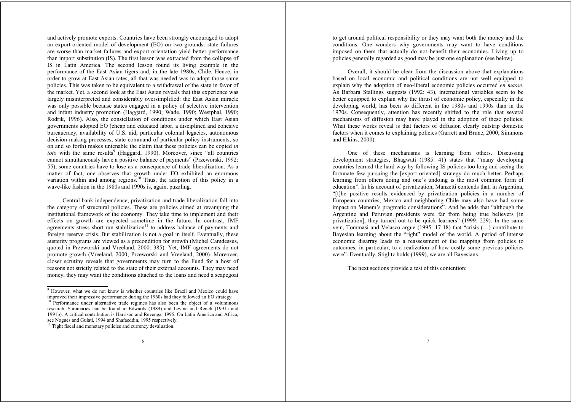and actively promote exports. Countries have been strongly encouraged to adopt an export-oriented model of development (EO) on two grounds: state failures are worse than market failures and export orientation yield better performance than import substitution (IS). The first lesson was extracted from the collapse of IS in Latin America. The second lesson found its living example in the performance of the East Asian tigers and, in the late 1980s, Chile. Hence, in order to grow at East Asian rates, all that was needed was to adopt those same policies. This was taken to be equivalent to a withdrawal of the state in favor of the market. Yet, a second look at the East Asian reveals that this experience was largely misinterpreted and considerably oversimplified: the East Asian miracle was only possible because states engaged in a policy of selective intervention and infant industry promotion (Haggard, 1990; Wade, 1990; Westphal, 1990; Rodrik, 1996). Also, the constellation of conditions under which East Asian governments adopted EO (cheap and educated labor, a disciplined and cohesive bureaucracy, availability of U.S. aid, particular colonial legacies, autonomous decision-making processes, state command of particular policy instruments, so on and so forth) makes untenable the claim that these policies can be copied *in toto* with the same results<sup>9</sup> (Haggard, 1990). Moreover, since "all countries cannot simultaneously have a positive balance of payments" (Przeworski, 1992: 55), some countries have to lose as a consequence of trade liberalization. As a matter of fact, one observes that growth under EO exhibited an enormous variation within and among regions.<sup>10</sup> Thus, the adoption of this policy in a wave-like fashion in the 1980s and 1990s is, again, puzzling.

Central bank independence, privatization and trade liberalization fall into the category of structural policies. These are policies aimed at revamping the institutional framework of the economy. They take time to implement and their effects on growth are expected sometime in the future. In contrast, IMF agreements stress short-run stabilization $11$  to address balance of payments and foreign reserve crisis. But stabilization is not a goal in itself. Eventually, these austerity programs are viewed as a precondition for growth (Michel Camdessus, quoted in Przeworski and Vreeland, 2000: 385). Yet, IMF agreements do not promote growth (Vreeland, 2000; Przeworski and Vreeland, 2000). Moreover, closer scrutiny reveals that governments may turn to the Fund for a host of reasons not strictly related to the state of their external accounts. They may need money, they may want the conditions attached to the loans and need a scapegoat

<sup>10</sup> Performance under alternative trade regimes has also been the object of a voluminous research. Summaries can be found in Edwards (1989) and Levine and Renelt (1991a and 1991b). A critical contribution is Harrison and Revenga, 1995. On Latin America and Africa, see Nogues and Gulati, 1994 and Shafaeddin, 1995 respectively.

to get around political responsibility or they may want both the money and the conditions. One wonders why governments may want to have conditions imposed on them that actually do not benefit their economies. Living up to policies generally regarded as good may be just one explanation (see below).

Overall, it should be clear from the discussion above that explanations based on local economic and political conditions are not well equipped to explain why the adoption of neo-liberal economic policies occurred *en masse*. As Barbara Stallings suggests (1992: 43), international variables seem to be better equipped to explain why the thrust of economic policy, especially in the developing world, has been so different in the 1980s and 1990s than in the 1970s. Consequently, attention has recently shifted to the role that several mechanisms of diffusion may have played in the adoption of these policies. What these works reveal is that factors of diffusion clearly outstrip domestic factors when it comes to explaining policies (Garrett and Brune, 2000; Simmons and Elkins, 2000).

One of these mechanisms is learning from others. Discussing development strategies, Bhagwati (1985: 41) states that "many developing countries learned the hard way by following IS policies too long and seeing the fortunate few pursuing the [export oriented] strategy do much better. Perhaps learning from others doing and one's undoing is the most common form of education". In his account of privatization, Manzetti contends that, in Argentina, "[t]he positive results evidenced by privatization policies in a number of European countries, Mexico and neighboring Chile may also have had some impact on Menem's pragmatic considerations". And he adds that "although the Argentine and Peruvian presidents were far from being true believers [in privatization], they turned out to be quick learners" (1999: 229). In the same vein, Tommasi and Velasco argue (1995: 17-18) that "crisis (…) contribute to Bayesian learning about the "right" model of the world. A period of intense economic disarray leads to a reassessment of the mapping from policies to outcomes, in particular, to a realization of how costly some previous policies were". Eventually, Stiglitz holds (1999), we are all Bayesians.

7

The next sections provide a test of this contention:

<sup>9</sup> However, what we do not know is whether countries like Brazil and Mexico could have improved their impressive performance during the 1960s had they followed an EO strategy.

<sup>&</sup>lt;sup>11</sup> Tight fiscal and monetary policies and currency devaluation.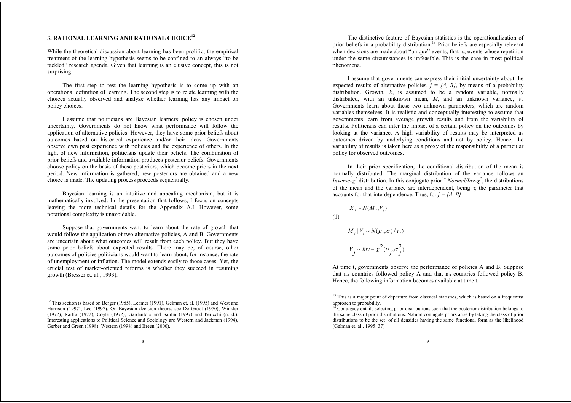# **3. RATIONAL LEARNING AND RATIONAL CHOICE<sup>12</sup>**

While the theoretical discussion about learning has been prolific, the empirical treatment of the learning hypothesis seems to be confined to an always "to be tackled" research agenda. Given that learning is an elusive concept, this is not surprising.

The first step to test the learning hypothesis is to come up with an operational definition of learning. The second step is to relate learning with the choices actually observed and analyze whether learning has any impact on policy choices.

I assume that politicians are Bayesian learners: policy is chosen under uncertainty. Governments do not know what performance will follow the application of alternative policies. However, they have some prior beliefs about outcomes based on historical experience and/or their ideas. Governments observe own past experience with policies and the experience of others. In the light of new information, politicians update their beliefs. The combination of prior beliefs and available information produces posterior beliefs. Governments choose policy on the basis of these posteriors, which become priors in the next period. New information is gathered, new posteriors are obtained and a new choice is made. The updating process proceeds sequentially.

Bayesian learning is an intuitive and appealing mechanism, but it is mathematically involved. In the presentation that follows, I focus on concepts leaving the more technical details for the Appendix A.I. However, some notational complexity is unavoidable.

Suppose that governments want to learn about the rate of growth that would follow the application of two alternative policies, A and B. Governments are uncertain about what outcomes will result from each policy. But they have some prior beliefs about expected results. There may be, of course, other outcomes of policies politicians would want to learn about, for instance, the rate of unemployment or inflation. The model extends easily to those cases. Yet, the crucial test of market-oriented reforms is whether they succeed in resuming growth (Bresser et. al., 1993).

The distinctive feature of Bayesian statistics is the operationalization of prior beliefs in a probability distribution.<sup>13</sup> Prior beliefs are especially relevant when decisions are made about "unique" events, that is, events whose repetition under the same circumstances is unfeasible. This is the case in most political phenomena.

I assume that governments can express their initial uncertainty about the expected results of alternative policies,  $j = \{A, B\}$ , by means of a probability distribution. Growth, *X*, is assumed to be a random variable, normally distributed, with an unknown mean, *M*, and an unknown variance, *V*. Governments learn about these two unknown parameters, which are random variables themselves. It is realistic and conceptually interesting to assume that governments learn from average growth results and from the variability of results. Politicians can infer the impact of a certain policy on the outcomes by looking at the variance. A high variability of results may be interpreted as outcomes driven by underlying conditions and not by policy. Hence, the variability of results is taken here as a proxy of the responsibility of a particular policy for observed outcomes.

In their prior specification, the conditional distribution of the mean is normally distributed. The marginal distribution of the variance follows an *Inverse-* $\chi^2$  distribution. In this conjugate prior<sup>14</sup> *Normal/Inv-* $\chi^2$ , the distributions of the mean and the variance are interdependent, being  $\tau_i$  the parameter that accounts for that interdependence. Thus, for  $j = \{A, B\}$ 

$$
X_j \sim N(M_j, V_j)
$$

(1)

$$
M_j | V_j \sim N(\mu_j, \sigma_j^2 / \tau_j)
$$
  

$$
V_j \sim Inv - \chi^2(\upsilon_j, \sigma_j^2)
$$

At time t, governments observe the performance of policies A and B. Suppose that  $n_A$  countries followed policy A and that  $n_B$  countries followed policy B. Hence, the following information becomes available at time t.

 $12$  This section is based on Berger (1985), Leamer (1991), Gelman et. al. (1995) and West and Harrison (1997), Lee (1997). On Bayesian decision theory, see De Groot (1970), Winkler (1972), Raiffa (1972), Coyle (1972), Gardenfors and Sahlin (1997) and Pericchi (n. d.). Interesting applications to Political Science and Sociology are Western and Jackman (1994), Gerber and Green (1998), Western (1998) and Breen (2000).

<sup>&</sup>lt;sup>13</sup> This is a major point of departure from classical statistics, which is based on a frequentist approach to probability.<br><sup>14</sup> Conjugacy entails selecting prior distributions such that the posterior distribution belongs to

the same class of prior distributions. Natural conjugate priors arise by taking the class of prior distributions to be the set of all densities having the same functional form as the likelihood (Gelman et. al., 1995: 37)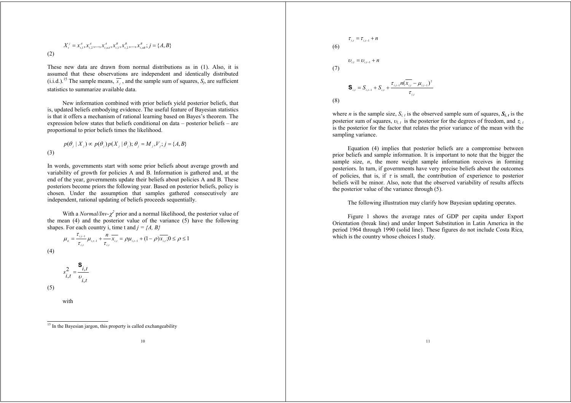(2)  
\n
$$
X_t^j = x_{t,1}^A, x_{t,2}^A, ..., x_{t,n}^A, x_{t,1}^B, x_{t,2}^B, ..., x_{t,n}^B; j = \{A, B\}
$$

These new data are drawn from normal distributions as in (1). Also, it is assumed that these observations are independent and identically distributed (i.i.d.).<sup>15</sup> The sample means,  $\overline{x_i}$ , and the sample sum of squares,  $S_i$ , are sufficient statistics to summarize available data.

New information combined with prior beliefs yield posterior beliefs, that is, updated beliefs embodying evidence. The useful feature of Bayesian statistics is that it offers a mechanism of rational learning based on Bayes's theorem. The expression below states that beliefs conditional on data – posterior beliefs – are proportional to prior beliefs times the likelihood.

(3) 
$$
p(\theta_j | X_j) \propto p(\theta_j) p(X_j | \theta_j); \theta_j = M_j, V_j; j = \{A, B\}
$$

In words, governments start with some prior beliefs about average growth and variability of growth for policies A and B. Information is gathered and, at the end of the year, governments update their beliefs about policies A and B. These posteriors become priors the following year. Based on posterior beliefs, policy is chosen. Under the assumption that samples gathered consecutively are independent, rational updating of beliefs proceeds sequentially.

With a *Normal/Inv-* $\chi^2$  prior and a normal likelihood, the posterior value of the mean (4) and the posterior value of the variance (5) have the following shapes. For each country i, time t and  $j = \{A, B\}$ 

$$
\mu_{ii} = \frac{\tau_{i,i-1}}{\tau_{i,i}} \mu_{i,i-1} + \frac{n}{\tau_{i,i}} \overline{x_{i,i}} = \rho \mu_{i,i-1} + (1 - \rho) \overline{x_{i,i}}; 0 \le \rho \le 1
$$
\n(4)

$$
s_{i,t}^2 = \frac{\mathbf{S}_{i,t}}{v_{i,t}}
$$

(5)

with

## <sup>15</sup> In the Bayesian jargon, this property is called exchangeability

$$
\overline{10}
$$

(6)  
\n
$$
\tau_{i,t} = \tau_{i,t-1} + n
$$
\n(7)  
\n
$$
D_{i,t} = D_{i,t-1} + n
$$
\n(7)  
\n
$$
\mathbf{S}_{i,t} = S_{i,t-1} + S_{i,t} + \frac{\tau_{i,t-1}n(\overline{x_{i,t}} - \mu_{i,t-1})^2}{\tau_{i,t}}
$$
\n(8)

where *n* is the sample size,  $S_{i,t}$  is the observed sample sum of squares,  $S_{i,t}$  is the posterior sum of squares,  $v_{i,t}$  is the posterior for the degrees of freedom, and  $\tau_{i,t}$ is the posterior for the factor that relates the prior variance of the mean with the sampling variance.

Equation (4) implies that posterior beliefs are a compromise between prior beliefs and sample information. It is important to note that the bigger the sample size,  $n$ , the more weight sample information receives in forming posteriors. In turn, if governments have very precise beliefs about the outcomes of policies, that is, if  $\tau$  is small, the contribution of experience to posterior beliefs will be minor. Also, note that the observed variability of results affects the posterior value of the variance through (5).

The following illustration may clarify how Bayesian updating operates.

Figure 1 shows the average rates of GDP per capita under Export Orientation (break line) and under Import Substitution in Latin America in the period 1964 through 1990 (solid line). These figures do not include Costa Rica, which is the country whose choices I study.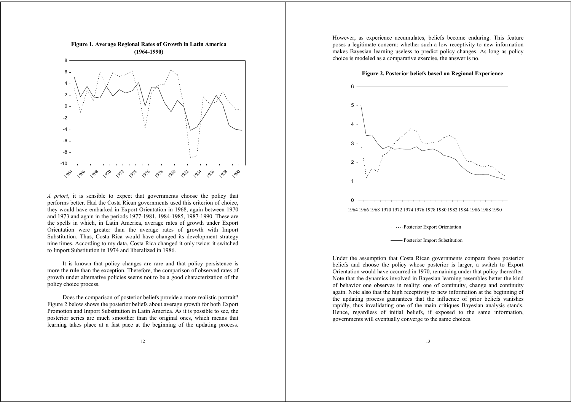

*A priori*, it is sensible to expect that governments choose the policy that performs better. Had the Costa Rican governments used this criterion of choice, they would have embarked in Export Orientation in 1968, again between 1970 and 1973 and again in the periods 1977-1981, 1984-1985, 1987-1990. These are the spells in which, in Latin America, average rates of growth under Export Orientation were greater than the average rates of growth with Import Substitution. Thus, Costa Rica would have changed its development strategy nine times. According to my data, Costa Rica changed it only twice: it switched to Import Substitution in 1974 and liberalized in 1986.

It is known that policy changes are rare and that policy persistence is more the rule than the exception. Therefore, the comparison of observed rates of growth under alternative policies seems not to be a good characterization of the policy choice process.

Does the comparison of posterior beliefs provide a more realistic portrait? Figure 2 below shows the posterior beliefs about average growth for both Export Promotion and Import Substitution in Latin America. As it is possible to see, the posterior series are much smoother than the original ones, which means that learning takes place at a fast pace at the beginning of the updating process.

However, as experience accumulates, beliefs become enduring. This feature poses a legitimate concern: whether such a low receptivity to new information makes Bayesian learning useless to predict policy changes. As long as policy choice is modeled as a comparative exercise, the answer is no.

#### **Figure 2. Posterior beliefs based on Regional Experience**



1964 1966 1968 1970 1972 1974 1976 1978 1980 1982 1984 1986 1988 1990

Posterior Export Orientation

Under the assumption that Costa Rican governments compare those posterior beliefs and choose the policy whose posterior is larger, a switch to Export Orientation would have occurred in 1970, remaining under that policy thereafter. Note that the dynamics involved in Bayesian learning resembles better the kind of behavior one observes in reality: one of continuity, change and continuity again. Note also that the high receptivity to new information at the beginning of the updating process guarantees that the influence of prior beliefs vanishes rapidly, thus invalidating one of the main critiques Bayesian analysis stands. Hence, regardless of initial beliefs, if exposed to the same information, governments will eventually converge to the same choices.

Posterior Import Substitution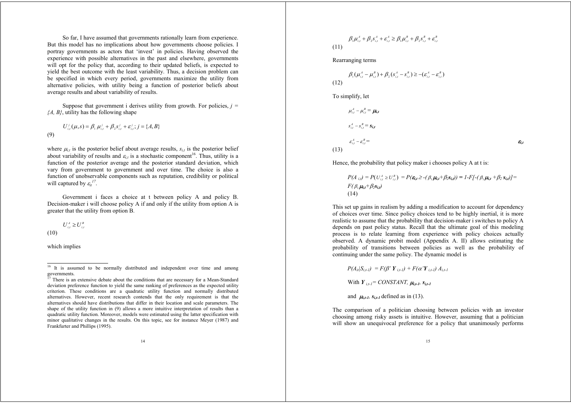So far, I have assumed that governments rationally learn from experience. But this model has no implications about how governments choose policies. I portray governments as actors that 'invest' in policies. Having observed the experience with possible alternatives in the past and elsewhere, governments will opt for the policy that, according to their updated beliefs, is expected to yield the best outcome with the least variability. Thus, a decision problem can be specified in which every period, governments maximize the utility from alternative policies, with utility being a function of posterior beliefs about average results and about variability of results.

Suppose that government i derives utility from growth. For policies, *j = {A, B}*, utility has the following shape

(9) 
$$
U_{i,t}^j(\mu, s) = \beta_1 \mu_{i,t}^j + \beta_2 s_{i,t}^j + \varepsilon_{i,t}^j; j = \{A, B\}
$$

where  $\mu_{i,t}$  is the posterior belief about average results,  $s_{i,t}$  is the posterior belief about variability of results and  $\varepsilon_i$  is a stochastic component<sup>16</sup>. Thus, utility is a function of the posterior average and the posterior standard deviation, which vary from government to government and over time. The choice is also a function of unobservable components such as reputation, credibility or political will captured by  $\varepsilon_{it}^{17}$ .

Government i faces a choice at t between policy A and policy B. Decision-maker i will choose policy A if and only if the utility from option A is greater that the utility from option B.

 $U^{A}_{i,t} \ge U^{B}_{i,t}$ 

(10)

which implies

$$
\beta_{i} \mu_{i,t}^{A} + \beta_{2} s_{i,t}^{A} + \varepsilon_{i,t}^{A} \ge \beta_{i} \mu_{i,t}^{B} + \beta_{2} s_{i,t}^{B} + \varepsilon_{i,t}^{B}
$$
\n(11)

Rearranging terms

$$
\beta_1(\mu_{i,t}^A - \mu_{i,t}^B) + \beta_2(s_{i,t}^A - s_{i,t}^B) \ge -(\varepsilon_{i,t}^A - \varepsilon_{i,t}^B)
$$
\n(12)

To simplify, let

$$
\mu_{i,t}^A - \mu_{i,t}^B = \mu_{i,t}
$$
\n
$$
s_{i,t}^A - s_{i,t}^B = s_{i,t}
$$
\n
$$
\varepsilon_{i,t}^A - \varepsilon_{i,t}^B =
$$
\n(13)

Hence, the probability that policy maker i chooses policy A at t is:

$$
P(A_{i,t}) = P(U_{i,t}^A \ge U_{i,t}^B) = P(\mathbf{\mathbf{\mathbf{\mathit{e}}}}_{i,t} \ge -(\beta_1 \mathbf{\mathit{\mu}}_{i,t} + \beta_2 \mathbf{\mathit{s}}_{i,t})) = I - F[-(\beta_1 \mathbf{\mathit{\mu}}_{i,t} + \beta_2 \mathbf{\mathit{s}}_{i,t})] =
$$
  

$$
F(\beta_1 \mathbf{\mathit{\mu}}_{i,t} + \beta_2 \mathbf{\mathit{s}}_{i,t})
$$
  
(14)

This set up gains in realism by adding a modification to account for dependency of choices over time. Since policy choices tend to be highly inertial, it is more realistic to assume that the probability that decision-maker i switches to policy A depends on past policy status. Recall that the ultimate goal of this modeling process is to relate learning from experience with policy choices actually observed. A dynamic probit model (Appendix A. II) allows estimating the probability of transitions between policies as well as the probability of continuing under the same policy. The dynamic model is

$$
P(A_{ii}|S_{i,t-l}) = F(\beta' Y_{i,t-l}) + F(\alpha' Y_{i,t-l}) A_{i,t-l}
$$

With  $Y_{i,t-1} = CONSTANT$ ,  $\mu_{i,t-1}$ ,  $S_{i,t-1}$ 

and  $\mu_{i,t-1}$ ,  $s_{i,t-1}$  defined as in (13).

The comparison of a politician choosing between policies with an investor choosing among risky assets is intuitive. However, assuming that a politician will show an unequivocal preference for a policy that unanimously performs

<sup>&</sup>lt;sup>16</sup> It is assumed to be normally distributed and independent over time and among

governments.<br><sup>17</sup> There is an extensive debate about the conditions that are necessary for a Mean-Standard deviation preference function to yield the same ranking of preferences as the expected utility criterion. These conditions are a quadratic utility function and normally distributed alternatives. However, recent research contends that the only requirement is that the alternatives should have distributions that differ in their location and scale parameters. The shape of the utility function in (9) allows a more intuitive interpretation of results than a quadratic utility function. Moreover, models were estimated using the latter specification with minor qualitative changes in the results. On this topic, see for instance Meyer (1987) and Frankfurter and Phillips (1995).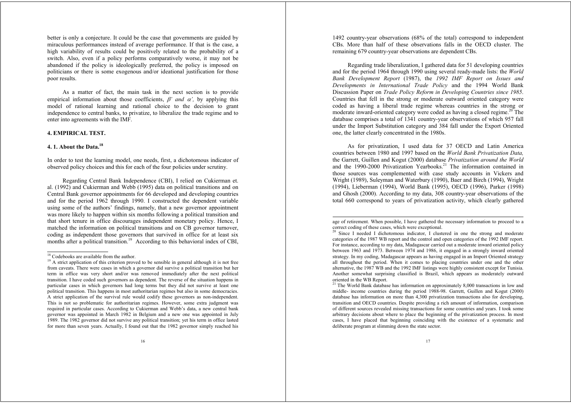better is only a conjecture. It could be the case that governments are guided by miraculous performances instead of average performance. If that is the case, a high variability of results could be positively related to the probability of a switch. Also, even if a policy performs comparatively worse, it may not be abandoned if the policy is ideologically preferred, the policy is imposed on politicians or there is some exogenous and/or ideational justification for those poor results.

As a matter of fact, the main task in the next section is to provide empirical information about those coefficients,  $\beta'$  and  $\alpha'$ , by applying this model of rational learning and rational choice to the decision to grant independence to central banks, to privatize, to liberalize the trade regime and to enter into agreements with the IMF.

#### **4. EMPIRICAL TEST.**

# **4. 1. About the Data.<sup>18</sup>**

In order to test the learning model, one needs, first, a dichotomous indicator of observed policy choices and this for each of the four policies under scrutiny.

Regarding Central Bank Independence (CBI), I relied on Cukierman et. al. (1992) and Cukierman and Webb (1995) data on political transitions and on Central Bank governor appointments for 66 developed and developing countries and for the period 1962 through 1990. I constructed the dependent variable using some of the authors' findings, namely, that a new governor appointment was more likely to happen within six months following a political transition and that short tenure in office discourages independent monetary policy. Hence, I matched the information on political transitions and on CB governor turnover, coding as independent those governors that survived in office for at least six months after a political transition.<sup>19</sup> According to this behavioral index of CBI,

1492 country-year observations (68% of the total) correspond to independent CBs. More than half of these observations falls in the OECD cluster. The remaining 679 country-year observations are dependent CBs.

Regarding trade liberalization, I gathered data for 51 developing countries and for the period 1964 through 1990 using several ready-made lists: the *World Bank Development Report* (1987), the *1992 IMF Report on Issues and Developments in International Trade Policy* and the 1994 World Bank Discussion Paper on *Trade Policy Reform in Developing Countries since 1985*. Countries that fell in the strong or moderate outward oriented category were coded as having a liberal trade regime whereas countries in the strong or moderate inward-oriented category were coded as having a closed regime.<sup>20</sup> The database comprises a total of 1341 country-year observations of which 957 fall under the Import Substitution category and 384 fall under the Export Oriented one, the latter clearly concentrated in the 1980s.

As for privatization, I used data for 37 OECD and Latin America countries between 1980 and 1997 based on the *World Bank Privatization Data,* the Garrett, Guillen and Kogut (2000) database *Privatization around the World* and the 1990-2000 Privatization Yearbooks.<sup>21</sup> The information contained in those sources was complemented with case study accounts in Vickers and Wright (1989), Suleyman and Waterbury (1990), Baer and Birch (1994), Wright (1994), Lieberman (1994), World Bank (1995), OECD (1996), Parker (1998) and Ghosh (2000). According to my data, 308 country-year observations of the total 660 correspond to years of privatization activity, which clearly gathered

<sup>&</sup>lt;sup>18</sup> Codebooks are available from the author.

<sup>&</sup>lt;sup>19</sup> A strict application of this criterion proved to be sensible in general although it is not free from caveats. There were cases in which a governor did survive a political transition but her term in office was very short and/or was removed immediately after the next political transition. I have coded such governors as dependent. The reverse of the situation happens in particular cases in which governors had long terms but they did not survive at least one political transition. This happens in most authoritarian regimes but also in some democracies. A strict application of the survival rule would codify these governors as non-independent. This is not so problematic for authoritarian regimes. However, some extra judgment was required in particular cases. According to Cukierman and Webb's data, a new central bank governor was appointed in March 1982 in Belgium and a new one was appointed in July 1989. The 1982 governor did not survive any political transition; yet his term in office lasted for more than seven years. Actually, I found out that the 1982 governor simply reached his

age of retirement. When possible, I have gathered the necessary information to proceed to a correct coding of these cases, which were exceptional.

<sup>&</sup>lt;sup>20</sup> Since I needed I dichotomous indicator, I clustered in one the strong and moderate categories of the 1987 WB report and the control and open categories of the 1992 IMF report. For instance, according to my data, Madagascar carried out a moderate inward oriented policy between 1963 and 1973. Between 1974 and 1986, it engaged in a strongly inward oriented strategy. In my coding, Madagascar appears as having engaged in an Import Oriented strategy all throughout the period. When it comes to placing countries under one and the other alternative, the 1987 WB and the 1992 IMF listings were highly consistent except for Tunisia. Another somewhat surprising classified is Brazil, which appears as moderately outward oriented in the WB Report.

 $21$  The World Bank database has information on approximately 8,000 transactions in low and middle- income countries during the period 1988-98. Garrett, Guillen and Kogut (2000) database has information on more than 4,300 privatization transactions also for developing, transition and OECD countries. Despite providing a rich amount of information, comparison of different sources revealed missing transactions for some countries and years. I took some arbitrary decisions about where to place the beginning of the privatization process. In most cases, I have placed that beginning coinciding with the existence of a systematic and deliberate program at slimming down the state sector.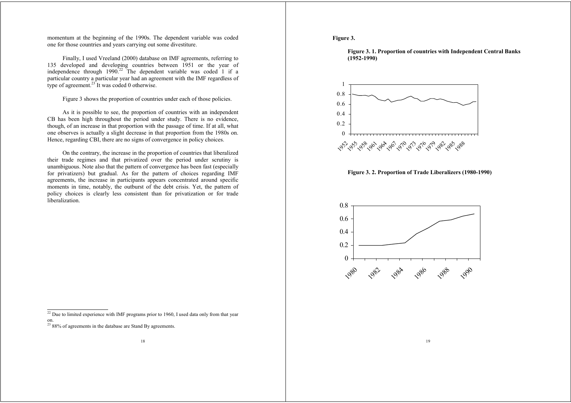momentum at the beginning of the 1990s. The dependent variable was coded one for those countries and years carrying out some divestiture.

Finally, I used Vreeland (2000) database on IMF agreements, referring to 135 developed and developing countries between 1951 or the year of independence through 1990.<sup>22</sup> The dependent variable was coded 1 if a particular country a particular year had an agreement with the IMF regardless of type of agreement. $23$  It was coded 0 otherwise.

Figure 3 shows the proportion of countries under each of those policies.

As it is possible to see, the proportion of countries with an independent CB has been high throughout the period under study. There is no evidence, though, of an increase in that proportion with the passage of time. If at all, what one observes is actually a slight decrease in that proportion from the 1980s on. Hence, regarding CBI, there are no signs of convergence in policy choices.

On the contrary, the increase in the proportion of countries that liberalized their trade regimes and that privatized over the period under scrutiny is unambiguous. Note also that the pattern of convergence has been fast (especially for privatizers) but gradual. As for the pattern of choices regarding IMF agreements, the increase in participants appears concentrated around specific moments in time, notably, the outburst of the debt crisis. Yet, the pattern of policy choices is clearly less consistent than for privatization or for trade liberalization.

#### **Figure 3.**





**Figure 3. 2. Proportion of Trade Liberalizers (1980-1990)**



19

 $22$  Due to limited experience with IMF programs prior to 1960, I used data only from that year

on. 23 88% of agreements in the database are Stand By agreements.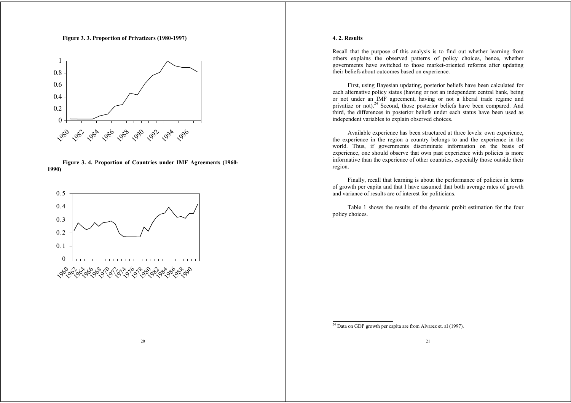**Figure 3. 3. Proportion of Privatizers (1980-1997)**







20

## **4. 2. Results**

Recall that the purpose of this analysis is to find out whether learning from others explains the observed patterns of policy choices, hence, whether governments have switched to those market-oriented reforms after updating their beliefs about outcomes based on experience.

First, using Bayesian updating, posterior beliefs have been calculated for each alternative policy status (having or not an independent central bank, being or not under an IMF agreement, having or not a liberal trade regime and privatize or not).<sup>24</sup> Second, those posterior beliefs have been compared. And third, the differences in posterior beliefs under each status have been used as independent variables to explain observed choices.

Available experience has been structured at three levels: own experience, the experience in the region a country belongs to and the experience in the world. Thus, if governments discriminate information on the basis of experience, one should observe that own past experience with policies is more informative than the experience of other countries, especially those outside their region.

Finally, recall that learning is about the performance of policies in terms of growth per capita and that I have assumed that both average rates of growth and variance of results are of interest for politicians.

Table 1 shows the results of the dynamic probit estimation for the four policy choices.

 $\frac{24}{24}$  Data on GDP growth per capita are from Alvarez et. al (1997).

21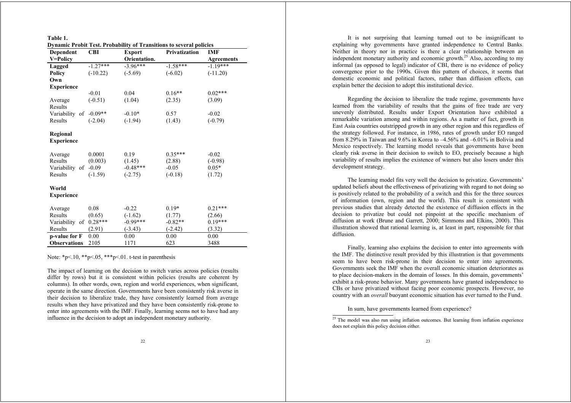| Table 1.                                                                   |            |               |                      |                   |  |  |
|----------------------------------------------------------------------------|------------|---------------|----------------------|-------------------|--|--|
| <b>Dynamic Probit Test. Probability of Transitions to several policies</b> |            |               |                      |                   |  |  |
| <b>Dependent</b>                                                           | <b>CBI</b> | <b>Export</b> | <b>Privatization</b> | <b>IMF</b>        |  |  |
| V=Policy                                                                   |            | Orientation.  |                      | <b>Agreements</b> |  |  |
| Lagged                                                                     | $-1.27***$ | $-3.96***$    | $-1.58***$           | $-1.19***$        |  |  |
| <b>Policy</b>                                                              | $(-10.22)$ | $(-5.69)$     | $(-6.02)$            | $(-11.20)$        |  |  |
| Own                                                                        |            |               |                      |                   |  |  |
| <b>Experience</b>                                                          |            |               |                      |                   |  |  |
|                                                                            | $-0.01$    | 0.04          | $0.16**$             | $0.02***$         |  |  |
| Average                                                                    | $(-0.51)$  | (1.04)        | (2.35)               | (3.09)            |  |  |
| Results                                                                    |            |               |                      |                   |  |  |
| Variability of                                                             | $-0.09**$  | $-0.10*$      | 0.57                 | $-0.02$           |  |  |
| Results                                                                    | $(-2.04)$  | $(-1.94)$     | (1.43)               | $(-0.79)$         |  |  |
| Regional<br><b>Experience</b>                                              |            |               |                      |                   |  |  |
|                                                                            |            |               |                      |                   |  |  |
| Average                                                                    | 0.0001     | 0.19          | $0.35***$            | $-0.02$           |  |  |
| Results                                                                    | (0.003)    | (1.45)        | (2.88)               | $(-0.98)$         |  |  |
| Variability of                                                             | $-0.09$    | $-0.48***$    | $-0.05$              | $0.05*$           |  |  |
| Results                                                                    | $(-1.59)$  | $(-2.75)$     | $(-0.18)$            | (1.72)            |  |  |
| World<br><b>Experience</b>                                                 |            |               |                      |                   |  |  |
| Average                                                                    | 0.08       | $-0.22$       | $0.19*$              | $0.21***$         |  |  |
| Results                                                                    | (0.65)     | $(-1.62)$     | (1.77)               | (2.66)            |  |  |
| Variability of                                                             | $0.28***$  | $-0.99***$    | $-0.82**$            | $0.19***$         |  |  |
| Results                                                                    | (2.91)     | $(-3.43)$     | $(-2.42)$            | (3.32)            |  |  |
| p-value for F                                                              | 0.00       | 0.00          | 0.00                 | 0.00              |  |  |
| <b>Observations</b>                                                        | 2105       | 1171          | 623                  | 3488              |  |  |

Note:  $*_{p<.10}$ ,  $*_{p<.05}$ ,  $*_{p<.01}$ . t-test in parenthesis

The impact of learning on the decision to switch varies across policies (results differ by rows) but it is consistent within policies (results are coherent by columns). In other words, own, region and world experiences, when significant, operate in the same direction. Governments have been consistently risk averse in their decision to liberalize trade, they have consistently learned from average results when they have privatized and they have been consistently risk-prone to enter into agreements with the IMF. Finally, learning seems not to have had any influence in the decision to adopt an independent monetary authority.

It is not surprising that learning turned out to be insignificant to explaining why governments have granted independence to Central Banks. Neither in theory nor in practice is there a clear relationship between an independent monetary authority and economic growth.<sup>25</sup> Also, according to my informal (as opposed to legal) indicator of CBI, there is no evidence of policy convergence prior to the 1990s. Given this pattern of choices, it seems that domestic economic and political factors, rather than diffusion effects, can explain better the decision to adopt this institutional device.

Regarding the decision to liberalize the trade regime, governments have learned from the variability of results that the gains of free trade are very unevenly distributed. Results under Export Orientation have exhibited a remarkable variation among and within regions. As a matter of fact, growth in East Asia countries outstripped growth in any other region and this regardless of the strategy followed. For instance, in 1986, rates of growth under EO ranged from 8.29% in Taiwan and 9.6% in Korea to –4.56% and –6.01% in Bolivia and Mexico respectively. The learning model reveals that governments have been clearly risk averse in their decision to switch to EO, precisely because a high variability of results implies the existence of winners but also losers under this development strategy.

The learning model fits very well the decision to privatize. Governments' updated beliefs about the effectiveness of privatizing with regard to not doing so is positively related to the probability of a switch and this for the three sources of information (own, region and the world). This result is consistent with previous studies that already detected the existence of diffusion effects in the decision to privatize but could not pinpoint at the specific mechanism of diffusion at work (Brune and Garrett, 2000; Simmons and Elkins, 2000). This illustration showed that rational learning is, at least in part, responsible for that diffusion.

Finally, learning also explains the decision to enter into agreements with the IMF. The distinctive result provided by this illustration is that governments seem to have been risk-prone in their decision to enter into agreements. Governments seek the IMF when the overall economic situation deteriorates as to place decision-makers in the domain of losses. In this domain, governments' exhibit a risk-prone behavior. Many governments have granted independence to CBs or have privatized without facing poor economic prospects. However, no country with an *overall* buoyant economic situation has ever turned to the Fund.

In sum, have governments learned from experience?

<sup>&</sup>lt;sup>25</sup> The model was also run using inflation outcomes. But learning from inflation experience does not explain this policy decision either.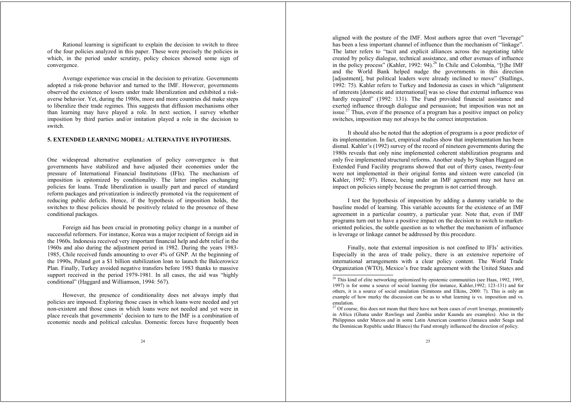Rational learning is significant to explain the decision to switch to three of the four policies analyzed in this paper. These were precisely the policies in which, in the period under scrutiny, policy choices showed some sign of convergence.

Average experience was crucial in the decision to privatize. Governments adopted a risk-prone behavior and turned to the IMF. However, governments observed the existence of losers under trade liberalization and exhibited a riskaverse behavior. Yet, during the 1980s, more and more countries did make steps to liberalize their trade regimes. This suggests that diffusion mechanisms other than learning may have played a role. In next section, I survey whether imposition by third parties and/or imitation played a role in the decision to switch.

#### **5. EXTENDED LEARNING MODEL: ALTERNATIVE HYPOTHESIS.**

One widespread alternative explanation of policy convergence is that governments have stabilized and have adjusted their economies under the pressure of International Financial Institutions (IFIs). The mechanism of imposition is epitomized by conditionality. The latter implies exchanging policies for loans. Trade liberalization is usually part and parcel of standard reform packages and privatization is indirectly promoted via the requirement of reducing public deficits. Hence, if the hypothesis of imposition holds, the switches to these policies should be positively related to the presence of these conditional packages.

Foreign aid has been crucial in promoting policy change in a number of successful reformers. For instance, Korea was a major recipient of foreign aid in the 1960s. Indonesia received very important financial help and debt relief in the 1960s and also during the adjustment period in 1982. During the years 1983- 1985, Chile received funds amounting to over 4% of GNP. At the beginning of the 1990s, Poland got a \$1 billion stabilization loan to launch the Balcerowicz Plan. Finally, Turkey avoided negative transfers before 1983 thanks to massive support received in the period 1979-1981. In all cases, the aid was "highly conditional" (Haggard and Williamson, 1994: 567).

However, the presence of conditionality does not always imply that policies are imposed. Exploring those cases in which loans were needed and yet non-existent and those cases in which loans were not needed and yet were in place reveals that governments' decision to turn to the IMF is a combination of economic needs and political calculus. Domestic forces have frequently been aligned with the posture of the IMF. Most authors agree that overt "leverage" has been a less important channel of influence than the mechanism of "linkage". The latter refers to "tacit and explicit alliances across the negotiating table created by policy dialogue, technical assistance, and other avenues of influence in the policy process" (Kahler, 1992: 94).<sup>26</sup> In Chile and Colombia, "[t]he IMF and the World Bank helped nudge the governments in this direction [adjustment], but political leaders were already inclined to move" (Stallings, 1992: 75). Kahler refers to Turkey and Indonesia as cases in which "alignment of interests [domestic and international] was so close that external influence was hardly required" (1992: 131). The Fund provided financial assistance and exerted influence through dialogue and persuasion; but imposition was not an issue.<sup>27</sup> Thus, even if the presence of a program has a positive impact on policy switches, imposition may not always be the correct interpretation.

It should also be noted that the adoption of programs is a poor predictor of its implementation. In fact, empirical studies show that implementation has been dismal. Kahler's (1992) survey of the record of nineteen governments during the 1980s reveals that only nine implemented coherent stabilization programs and only five implemented structural reforms. Another study by Stephan Haggard on Extended Fund Facility programs showed that out of thirty cases, twenty-four were not implemented in their original forms and sixteen were canceled (in Kahler, 1992: 97). Hence, being under an IMF agreement may not have an impact on policies simply because the program is not carried through.

I test the hypothesis of imposition by adding a dummy variable to the baseline model of learning. This variable accounts for the existence of an IMF agreement in a particular country, a particular year. Note that, even if IMF programs turn out to have a positive impact on the decision to switch to marketoriented policies, the subtle question as to whether the mechanism of influence is leverage or linkage cannot be addressed by this procedure.

Finally, note that external imposition is not confined to IFIs' activities. Especially in the area of trade policy, there is an extensive repertoire of international arrangements with a clear policy content. The World Trade Organization (WTO), Mexico's free trade agreement with the United States and

<sup>&</sup>lt;sup>26</sup> This kind of elite networking epitomized by epistemic communities (see Haas, 1992, 1995, 1997) is for some a source of social learning (for instance, Kahler,1992; 123-131) and for others, it is a source of social emulation (Simmons and Elkins, 2000: 7). This is only an example of how murky the discussion can be as to what learning is vs. imposition and vs. emulation.

<sup>&</sup>lt;sup>27</sup> Of course, this does not mean that there have not been cases of overt leverage, prominently in Africa (Ghana under Rawlings and Zambia under Kaunda are examples). Also in the Philippines under Marcos and in some Latin American countries (Jamaica under Seaga and the Dominican Republic under Blanco) the Fund strongly influenced the direction of policy.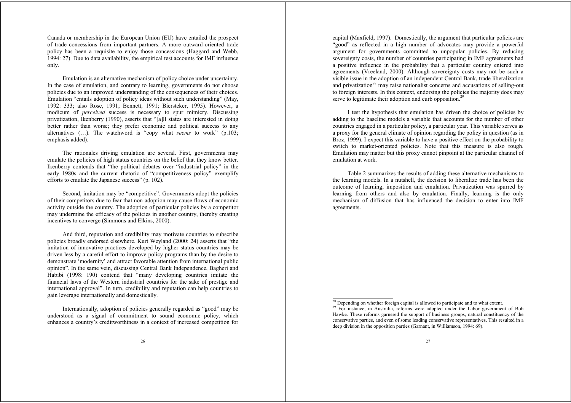Canada or membership in the European Union (EU) have entailed the prospect of trade concessions from important partners. A more outward-oriented trade policy has been a requisite to enjoy those concessions (Haggard and Webb, 1994: 27). Due to data availability, the empirical test accounts for IMF influence only.

Emulation is an alternative mechanism of policy choice under uncertainty. In the case of emulation, and contrary to learning, governments do not choose policies due to an improved understanding of the consequences of their choices. Emulation "entails adoption of policy ideas without such understanding" (May, 1992: 333; also Rose, 1991; Bennett, 1991; Biersteker, 1995). However, a modicum of *perceived* success is necessary to spur mimicry. Discussing privatization, Ikenberry (1990), asserts that "[a]ll states are interested in doing better rather than worse; they prefer economic and political success to any alternatives (…). The watchword is "copy what *seems* to work" (p.103; emphasis added).

The rationales driving emulation are several. First, governments may emulate the policies of high status countries on the belief that they know better. Ikenberry contends that "the political debates over "industrial policy" in the early 1980s and the current rhetoric of "competitiveness policy" exemplify efforts to emulate the Japanese success" (p. 102).

Second, imitation may be "competitive". Governments adopt the policies of their competitors due to fear that non-adoption may cause flows of economic activity outside the country. The adoption of particular policies by a competitor may undermine the efficacy of the policies in another country, thereby creating incentives to converge (Simmons and Elkins, 2000).

And third, reputation and credibility may motivate countries to subscribe policies broadly endorsed elsewhere. Kurt Weyland (2000: 24) asserts that "the imitation of innovative practices developed by higher status countries may be driven less by a careful effort to improve policy programs than by the desire to demonstrate 'modernity' and attract favorable attention from international public opinion". In the same vein, discussing Central Bank Independence, Bagheri and Habibi (1998: 190) contend that "many developing countries imitate the financial laws of the Western industrial countries for the sake of prestige and international approval". In turn, credibility and reputation can help countries to gain leverage internationally and domestically.

Internationally, adoption of policies generally regarded as "good" may be understood as a signal of commitment to sound economic policy, which enhances a country's creditworthiness in a context of increased competition for capital (Maxfield, 1997). Domestically, the argument that particular policies are "good" as reflected in a high number of advocates may provide a powerful argument for governments committed to unpopular policies. By reducing sovereignty costs, the number of countries participating in IMF agreements had a positive influence in the probability that a particular country entered into agreements (Vreeland, 2000). Although sovereignty costs may not be such a visible issue in the adoption of an independent Central Bank, trade liberalization and privatization<sup>28</sup> may raise nationalist concerns and accusations of selling-out to foreign interests. In this context, endorsing the policies the majority does may serve to legitimate their adoption and curb opposition.<sup>29</sup>

I test the hypothesis that emulation has driven the choice of policies by adding to the baseline models a variable that accounts for the number of other countries engaged in a particular policy, a particular year. This variable serves as a proxy for the general climate of opinion regarding the policy in question (as in Broz, 1999). I expect this variable to have a positive effect on the probability to switch to market-oriented policies. Note that this measure is also rough. Emulation may matter but this proxy cannot pinpoint at the particular channel of emulation at work.

Table 2 summarizes the results of adding these alternative mechanisms to the learning models. In a nutshell, the decision to liberalize trade has been the outcome of learning, imposition and emulation. Privatization was spurred by learning from others and also by emulation. Finally, learning is the only mechanism of diffusion that has influenced the decision to enter into IMF agreements.

<sup>&</sup>lt;sup>28</sup> Depending on whether foreign capital is allowed to participate and to what extent. <sup>29</sup> For instance, in Australia, reforms were adopted under the Labor government of Bob Hawke. These reforms garnered the support of business groups, natural constituency of the conservative parties, and even of some leading conservative representatives. This resulted in a deep division in the opposition parties (Garnant, in Williamson, 1994: 69).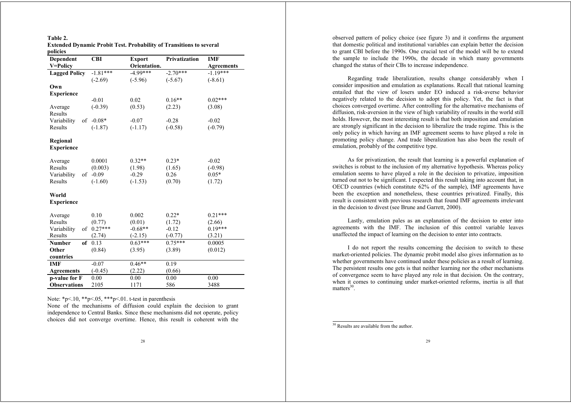| Table 2. |                                                                            |  |
|----------|----------------------------------------------------------------------------|--|
|          | <b>Extended Dynamic Probit Test. Probability of Transitions to several</b> |  |
| policies |                                                                            |  |

| Dependent            | <b>CBI</b> | <b>Export</b> | <b>Privatization</b> | <b>IMF</b>        |
|----------------------|------------|---------------|----------------------|-------------------|
| V=Policy             |            | Orientation.  |                      | <b>Agreements</b> |
| <b>Lagged Policy</b> | $-1.81***$ | $-4.99***$    | $-2.70***$           | $-1.19***$        |
|                      | $(-2.69)$  | $(-5.96)$     | $(-5.67)$            | $(-8.61)$         |
| Own                  |            |               |                      |                   |
| <b>Experience</b>    |            |               |                      |                   |
|                      | $-0.01$    | 0.02          | $0.16**$             | $0.02***$         |
| Average              | $(-0.39)$  | (0.53)        | (2.23)               | (3.08)            |
| Results              |            |               |                      |                   |
| Variability<br>of    | $-0.08*$   | $-0.07$       | $-0.28$              | $-0.02$           |
| Results              | $(-1.87)$  | $(-1.17)$     | $(-0.58)$            | $(-0.79)$         |
|                      |            |               |                      |                   |
| Regional             |            |               |                      |                   |
| <b>Experience</b>    |            |               |                      |                   |
|                      |            |               |                      |                   |
| Average              | 0.0001     | $0.32**$      | $0.23*$              | $-0.02$           |
| Results              | (0.003)    | (1.98)        | (1.65)               | $(-0.98)$         |
| Variability<br>of    | $-0.09$    | $-0.29$       | 0.26                 | $0.05*$           |
| Results              | $(-1.60)$  | $(-1.53)$     | (0.70)               | (1.72)            |
| World                |            |               |                      |                   |
| <b>Experience</b>    |            |               |                      |                   |
|                      |            |               |                      |                   |
| Average              | 0.10       | 0.002         | $0.22*$              | $0.21***$         |
| Results              | (0.77)     | (0.01)        | (1.72)               | (2.66)            |
| Variability<br>of    | $0.27***$  | $-0.68**$     | $-0.12$              | $0.19***$         |
| Results              | (2.74)     | $(-2.15)$     | $(-0.77)$            | (3.21)            |
| <b>Number</b><br>of  | 0.13       | $0.63***$     | $0.75***$            | 0.0005            |
| Other                | (0.84)     | (3.95)        | (3.89)               | (0.012)           |
| countries            |            |               |                      |                   |
| IMF                  | $-0.07$    | $0.46**$      | 0.19                 |                   |
| <b>Agreements</b>    | $(-0.45)$  | (2.22)        | (0.66)               |                   |
| p-value for F        | 0.00       | 0.00          | 0.00                 | 0.00              |
| <b>Observations</b>  | 2105       | 1171          | 586                  | 3488              |

Note: \*p<.10, \*\*p<.05, \*\*\*p<.01. t-test in parenthesis

None of the mechanisms of diffusion could explain the decision to grant independence to Central Banks. Since these mechanisms did not operate, policy choices did not converge overtime. Hence, this result is coherent with the observed pattern of policy choice (see figure 3) and it confirms the argument that domestic political and institutional variables can explain better the decision to grant CBI before the 1990s. One crucial test of the model will be to extend the sample to include the 1990s, the decade in which many governments changed the status of their CBs to increase independence.

Regarding trade liberalization, results change considerably when I consider imposition and emulation as explanations. Recall that rational learning entailed that the view of losers under EO induced a risk-averse behavior negatively related to the decision to adopt this policy. Yet, the fact is that choices converged overtime. After controlling for the alternative mechanisms of diffusion, risk-aversion in the view of high variability of results in the world still holds. However, the most interesting result is that both imposition and emulation are strongly significant in the decision to liberalize the trade regime. This is the only policy in which having an IMF agreement seems to have played a role in promoting policy change. And trade liberalization has also been the result of emulation, probably of the competitive type.

As for privatization, the result that learning is a powerful explanation of switches is robust to the inclusion of my alternative hypothesis. Whereas policy emulation seems to have played a role in the decision to privatize, imposition turned out not to be significant. I expected this result taking into account that, in OECD countries (which constitute 62% of the sample), IMF agreements have been the exception and nonetheless, these countries privatized. Finally, this result is consistent with previous research that found IMF agreements irrelevant in the decision to divest (see Brune and Garrett, 2000).

Lastly, emulation pales as an explanation of the decision to enter into agreements with the IMF. The inclusion of this control variable leaves unaffected the impact of learning on the decision to enter into contracts.

I do not report the results concerning the decision to switch to these market-oriented policies. The dynamic probit model also gives information as to whether governments have continued under these policies as a result of learning. The persistent results one gets is that neither learning nor the other mechanisms of convergence seem to have played any role in that decision. On the contrary, when it comes to continuing under market-oriented reforms, inertia is all that  $matters<sup>30</sup>$ .

<sup>30</sup> Results are available from the author.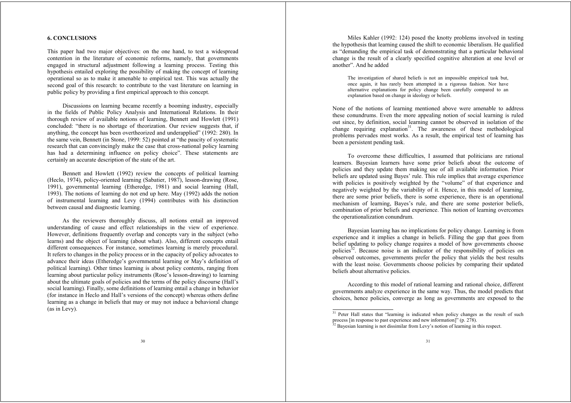#### **6. CONCLUSIONS**

This paper had two major objectives: on the one hand, to test a widespread contention in the literature of economic reforms, namely, that governments engaged in structural adjustment following a learning process. Testing this hypothesis entailed exploring the possibility of making the concept of learning operational so as to make it amenable to empirical test. This was actually the second goal of this research: to contribute to the vast literature on learning in public policy by providing a first empirical approach to this concept.

Discussions on learning became recently a booming industry, especially in the fields of Public Policy Analysis and International Relations. In their thorough review of available notions of learning, Bennett and Howlett (1991) concluded: "there is no shortage of theorization. Our review suggests that, if anything, the concept has been overtheorized and underapplied" (1992: 280). In the same vein, Bennett (in Stone, 1999: 52) pointed at "the paucity of systematic research that can convincingly make the case that cross-national policy learning has had a determining influence on policy choice". These statements are certainly an accurate description of the state of the art.

Bennett and Howlett (1992) review the concepts of political learning (Heclo, 1974), policy-oriented learning (Sabatier, 1987), lesson-drawing (Rose, 1991), governmental learning (Etheredge, 1981) and social learning (Hall, 1993). The notions of learning do not end up here. May (1992) adds the notion of instrumental learning and Levy (1994) contributes with his distinction between causal and diagnostic learning.

As the reviewers thoroughly discuss, all notions entail an improved understanding of cause and effect relationships in the view of experience. However, definitions frequently overlap and concepts vary in the subject (who learns) and the object of learning (about what). Also, different concepts entail different consequences. For instance, sometimes learning is merely procedural. It refers to changes in the policy process or in the capacity of policy advocates to advance their ideas (Etheredge's governmental learning or May's definition of political learning). Other times learning is about policy contents, ranging from learning about particular policy instruments (Rose's lesson-drawing) to learning about the ultimate goals of policies and the terms of the policy discourse (Hall's social learning). Finally, some definitions of learning entail a change in behavior (for instance in Heclo and Hall's versions of the concept) whereas others define learning as a change in beliefs that may or may not induce a behavioral change (as in Levy).

Miles Kahler (1992: 124) posed the knotty problems involved in testing the hypothesis that learning caused the shift to economic liberalism. He qualified as "demanding the empirical task of demonstrating that a particular behavioral change is the result of a clearly specified cognitive alteration at one level or another". And he added

The investigation of shared beliefs is not an impossible empirical task but, once again, it has rarely been attempted in a rigorous fashion. Nor have alternative explanations for policy change been carefully compared to an explanation based on change in ideology or beliefs.

None of the notions of learning mentioned above were amenable to address these conundrums. Even the more appealing notion of social learning is ruled out since, by definition, social learning cannot be observed in isolation of the change requiring explanation<sup>31</sup>. The awareness of these methodological problems pervades most works. As a result, the empirical test of learning has been a persistent pending task.

To overcome these difficulties, I assumed that politicians are rational learners. Bayesian learners have some prior beliefs about the outcome of policies and they update them making use of all available information. Prior beliefs are updated using Bayes' rule. This rule implies that average experience with policies is positively weighted by the "volume" of that experience and negatively weighted by the variability of it. Hence, in this model of learning, there are some prior beliefs, there is some experience, there is an operational mechanism of learning, Bayes's rule, and there are some posterior beliefs, combination of prior beliefs and experience. This notion of learning overcomes the operationalization conundrum.

Bayesian learning has no implications for policy change. Learning is from experience and it implies a change in beliefs. Filling the gap that goes from belief updating to policy change requires a model of how governments choose policies<sup>32</sup>. Because noise is an indicator of the responsibility of policies on observed outcomes, governments prefer the policy that yields the best results with the least noise. Governments choose policies by comparing their updated beliefs about alternative policies.

According to this model of rational learning and rational choice, different governments analyze experience in the same way. Thus, the model predicts that choices, hence policies, converge as long as governments are exposed to the

<sup>&</sup>lt;sup>31</sup> Peter Hall states that "learning is indicated when policy changes as the result of such process [in response to past experience and new information]" (p. 278).

<sup>&</sup>lt;sup>32</sup> Bayesian learning is not dissimilar from Levy's notion of learning in this respect.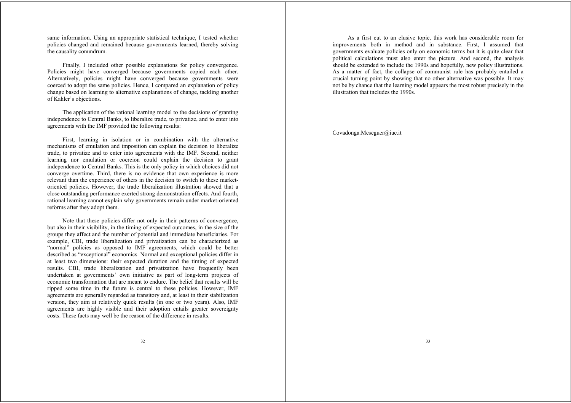same information. Using an appropriate statistical technique, I tested whether policies changed and remained because governments learned, thereby solving the causality conundrum.

Finally, I included other possible explanations for policy convergence. Policies might have converged because governments copied each other. Alternatively, policies might have converged because governments were coerced to adopt the same policies. Hence, I compared an explanation of policy change based on learning to alternative explanations of change, tackling another of Kahler's objections.

The application of the rational learning model to the decisions of granting independence to Central Banks, to liberalize trade, to privatize, and to enter into agreements with the IMF provided the following results:

First, learning in isolation or in combination with the alternative mechanisms of emulation and imposition can explain the decision to liberalize trade, to privatize and to enter into agreements with the IMF. Second, neither learning nor emulation or coercion could explain the decision to grant independence to Central Banks. This is the only policy in which choices did not converge overtime. Third, there is no evidence that own experience is more relevant than the experience of others in the decision to switch to these marketoriented policies. However, the trade liberalization illustration showed that a close outstanding performance exerted strong demonstration effects. And fourth, rational learning cannot explain why governments remain under market-oriented reforms after they adopt them.

Note that these policies differ not only in their patterns of convergence, but also in their visibility, in the timing of expected outcomes, in the size of the groups they affect and the number of potential and immediate beneficiaries. For example, CBI, trade liberalization and privatization can be characterized as "normal" policies as opposed to IMF agreements, which could be better described as "exceptional" economics. Normal and exceptional policies differ in at least two dimensions: their expected duration and the timing of expected results. CBI, trade liberalization and privatization have frequently been undertaken at governments' own initiative as part of long-term projects of economic transformation that are meant to endure. The belief that results will be ripped some time in the future is central to these policies. However, IMF agreements are generally regarded as transitory and, at least in their stabilization version, they aim at relatively quick results (in one or two years). Also, IMF agreements are highly visible and their adoption entails greater sovereignty costs. These facts may well be the reason of the difference in results.

 As a first cut to an elusive topic, this work has considerable room for improvements both in method and in substance. First, I assumed that governments evaluate policies only on economic terms but it is quite clear that political calculations must also enter the picture. And second, the analysis should be extended to include the 1990s and hopefully, new policy illustrations. As a matter of fact, the collapse of communist rule has probably entailed a crucial turning point by showing that no other alternative was possible. It may not be by chance that the learning model appears the most robust precisely in the illustration that includes the 1990s.

Covadonga.Meseguer@iue.it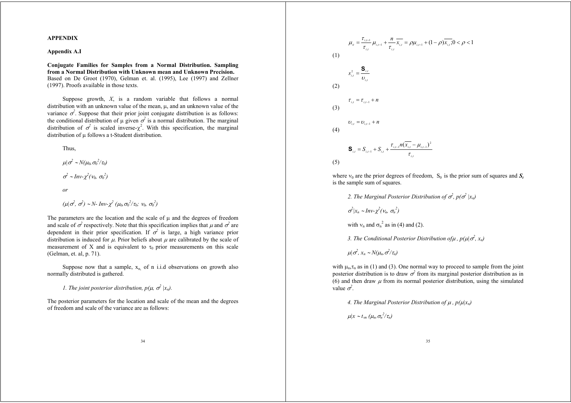#### **APPENDIX**

#### **Appendix A.I**

**Conjugate Families for Samples from a Normal Distribution. Sampling from a Normal Distribution with Unknown mean and Unknown Precision.** Based on De Groot (1970), Gelman et. al. (1995), Lee (1997) and Zellner (1997). Proofs available in those texts.

Suppose growth, *X*, is a random variable that follows a normal distribution with an unknown value of the mean,  $\mu$ , and an unknown value of the variance  $\sigma^2$ . Suppose that their prior joint conjugate distribution is as follows: the conditional distribution of  $\mu$  given  $\sigma^2$  is a normal distribution. The marginal distribution of  $\sigma^2$  is scaled inverse- $\chi^2$ . With this specification, the marginal distribution of  $\mu$  follows a t-Student distribution.

Thus,

 $\mu|\sigma^2 \sim N(\mu_0, \sigma_0^2/\tau_0)$  $\sigma^2 \sim Inv-\chi^2(\nu_0, \sigma_0^2)$ *or*  $(\mu|\sigma^2, \sigma^2) \sim N$ - Inv- $\chi^2$   $(\mu_0, \sigma_0^2/\tau_0; \nu_0, \sigma_0^2)$ 

The parameters are the location and the scale of  $\mu$  and the degrees of freedom and scale of  $\sigma^2$  respectively. Note that this specification implies that  $\mu$  and  $\sigma^2$  are dependent in their prior specification. If  $\sigma^2$  is large, a high variance prior distribution is induced for  $\mu$ . Prior beliefs about  $\mu$  are calibrated by the scale of measurement of X and is equivalent to  $\tau_0$  prior measurements on this scale (Gelman, et. al, p. 71).

Suppose now that a sample,  $x_n$  of n i.i.d observations on growth also normally distributed is gathered.

*1. The joint posterior distribution,*  $p(\mu, \sigma^2 | x_n)$ *.* 

The posterior parameters for the location and scale of the mean and the degrees of freedom and scale of the variance are as follows:

$$
\mu_{u} = \frac{\tau_{i,i-1}}{\tau_{i,i}} \mu_{i,i-1} + \frac{n}{\tau_{i,i}} \overline{x_{i,i}} = \rho \mu_{i,i-1} + (1 - \rho) \overline{x_{i,i}}; 0 < \rho < 1
$$
  
(1)  

$$
s_{i,i}^{2} = \frac{\mathbf{S}_{i,i}}{\nu_{i,i}}
$$
  
(2)  

$$
\tau_{i,i} = \tau_{i,i-1} + n
$$
  
(3)  

$$
\nu_{i,i} = \nu_{i,i-1} + n
$$
  
(4)  

$$
\mathbf{S}_{i,i} = S_{i,i-1} + S_{i,i} + \frac{\tau_{i,i-1} n (\overline{x_{i,i}} - \mu_{i,i-1})^{2}}{\tau_{i,i}}
$$
  
(5)

where  $v_0$  are the prior degrees of freedom,  $S_0$  is the prior sum of squares and  $S_t$ is the sample sum of squares.

2. The Marginal Posterior Distribution of  $\sigma^2$ ,  $p(\sigma^2 | x_n)$ 

 $\sigma^2 | x_n \sim Inv-\chi^2(\nu_n, \sigma_n^2)$ 

with  $v_n$  and  $\sigma_n^2$  as in (4) and (2).

*3. The Conditional Posterior Distribution of*  $\mu$ *,*  $p(\mu | \sigma^2, x_n)$ 

 $\mu | \sigma^2 x_n \sim N(\mu_n, \sigma^2/\tau_n)$ 

with  $\mu_n$ , $\tau_n$  as in (1) and (3). One normal way to proceed to sample from the joint posterior distribution is to draw  $\sigma^2$  from its marginal posterior distribution as in (6) and then draw  $\mu$  from its normal posterior distribution, using the simulated value  $\sigma^2$ .

4. The Marginal Posterior Distribution of  $\mu$  ,  $p(\mu|x_n)$ 

 $\mu |x \sim t_m$  ( $\mu_n$ ,  $\sigma_n^2 / \tau_n$ )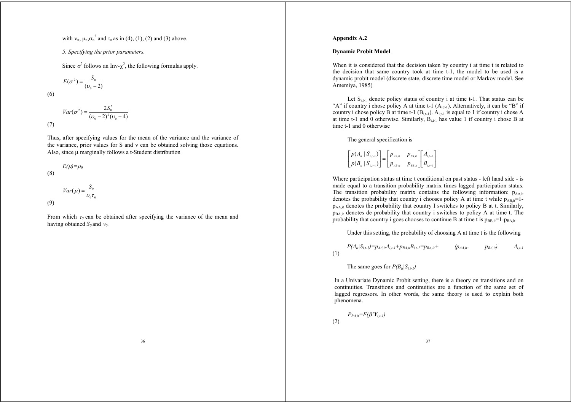with  $v_n$ ,  $u_n \sigma_n^2$  and  $\tau_n$  as in (4), (1), (2) and (3) above.

*5. Specifying the prior parameters.*

Since  $\sigma^2$  follows an Inv- $\chi^2$ , the following formulas apply.

$$
E(\sigma^2) = \frac{S_0}{(\nu_0 - 2)}
$$

(6)

$$
Var(\sigma^2) = \frac{2S_0^2}{(\nu_0 - 2)^2(\nu_0 - 4)}
$$
\n(7)

Thus, after specifying values for the mean of the variance and the variance of the variance, prior values for  $S$  and  $v$  can be obtained solving those equations. Also, since  $\mu$  marginally follows a t-Student distribution

$$
E(\mu) = \mu_0
$$
 (8)

(9)

$$
Var(\mu) = \frac{S_0}{\nu_0 \tau_0}
$$

From which  $\tau_0$  can be obtained after specifying the variance of the mean and having obtained  $S_0$  and  $V_0$ .

#### **Appendix A.2**

#### **Dynamic Probit Model**

When it is considered that the decision taken by country i at time t is related to the decision that same country took at time t-1, the model to be used is a dynamic probit model (discrete state, discrete time model or Markov model. See Amemiya, 1985)

Let  $S_{i,t-1}$  denote policy status of country i at time t-1. That status can be "A" if country i chose policy A at time t-1  $(A_{i+1})$ . Alternatively, it can be "B" if country i chose policy B at time t-1  $(B_{i,t-1})$ .  $A_{i,t-1}$  is equal to 1 if country i chose A at time t-1 and 0 otherwise. Similarly,  $B_{i+1}$  has value 1 if country i chose B at time t-1 and 0 otherwise

The general specification is

$$
\begin{bmatrix} p(A_{ii} | S_{i,i-1}) \ p(B_{ii} | S_{1,i-1}) \end{bmatrix} = \begin{bmatrix} p_{AA,ii} & p_{BA,ii} \ p_{AB,ii} & p_{BB,ii} \end{bmatrix} \begin{bmatrix} A_{i,i-1} \ B_{i,i-1} \end{bmatrix}
$$

Where participation status at time t conditional on past status - left hand side - is made equal to a transition probability matrix times lagged participation status. The transition probability matrix contains the following information:  $p_{AA}$ <sub>it</sub> denotes the probability that country i chooses policy A at time t while  $p_{AB,i}=1$ pAA,it denotes the probability that country I switches to policy B at t. Similarly,  $p_{BA it}$  denotes de probability that country i switches to policy A at time t. The probability that country i goes chooses to continue B at time t is  $p_{BB,i}=1-p_{BA,i}$ 

Under this setting, the probability of choosing A at time t is the following

$$
P(A_{ii}|S_{i,t-1}) = p_{AA,i}A_{i,t-1} + p_{BA,i}B_{i,t-1} = p_{BA,i} + (p_{AA,i} - p_{BA,i})
$$
  $A_{i,t-1}$ 

The same goes for  $P(B_{it}|S_{i,t-1})$ 

In a Univariate Dynamic Probit setting, there is a theory on transitions and on continuities. Transitions and continuities are a function of the same set of lagged regressors. In other words, the same theory is used to explain both phenomena.

$$
P_{BA,it} = F(\beta' Y_{i,t-l})
$$

(1)

(2)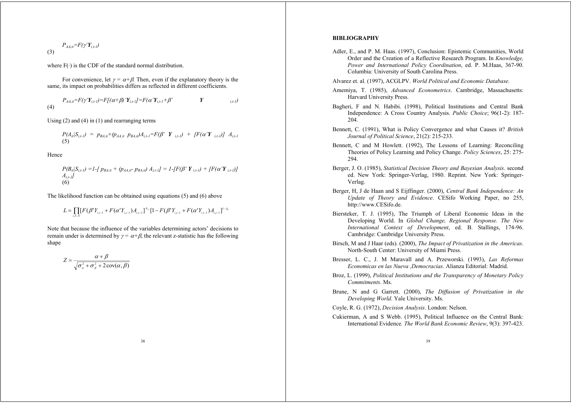$$
P_{AA,ii} = F(\gamma' \mathbf{Y}_{i,t-l})
$$

where  $F(\cdot)$  is the CDF of the standard normal distribution.

For convenience, let  $y = \alpha + \beta$ . Then, even if the explanatory theory is the same, its impact on probabilities differs as reflected in different coefficients.

 $P_{A A i t} = F(\gamma' Y_{i,t-1}) = F[(\alpha + \beta)' Y_{i,t-1}] = F(\alpha' Y_{i,t-1} + \beta'$  *Y i<sub>t-1</sub>* (4)

Using (2) and (4) in (1) and rearranging terms

$$
P(A_{ii}|S_{i,t}) = p_{BA,i} + (p_{AA,i} \ p_{BA,i} \nu A_{i,t-1} = F(\beta' \ Y_{i,t-1}) + [F(\alpha' Y_{i,t-1})] A_{i,t-1}
$$
\n(5)

Hence

$$
P(B_{il}|S_{i,t-l}) = I - [p_{BA,it} + (p_{AA,it} - p_{BA,it}) A_{i,t-l}] = I - [F(\beta' \mathbf{Y}_{i,t-l}) + [F(\alpha' \mathbf{Y}_{i,t-l})] A_{i,t-l}]
$$
  
(6)

The likelihood function can be obtained using equations (5) and (6) above

$$
L = \prod_{i,T,N} [F(\beta^{\mathsf{T}} Y_{i,i-1} + F(\alpha^{\mathsf{T}} Y_{i,i-1}) A_{i,i-1}]^{A_{i,j}} [1 - F(\beta^{\mathsf{T}} Y_{i,i-1} + F(\alpha^{\mathsf{T}} Y_{i,i-1}) A_{i,i-1}]^{1 - A_{i,j}}]
$$

Note that because the influence of the variables determining actors' decisions to remain under is determined by  $\gamma = \alpha + \beta$ , the relevant z-statistic has the following shape

$$
Z = \frac{\alpha + \beta}{\sqrt{\sigma_{\alpha}^2 + \sigma_{\beta}^2 + 2\operatorname{cov}(\alpha, \beta)}}
$$

#### **BIBLIOGRAPHY**

- Adler, E., and P. M. Haas. (1997), Conclusion: Epistemic Communities, World Order and the Creation of a Reflective Research Program. In *Knowledge, Power and International Policy Coordination*, ed. P. M.Haas, 367-90. Columbia: University of South Carolina Press.
- Alvarez et. al. (1997), ACGLPV. *World Political and Economic Database.*
- Amemiya, T. (1985), *Advanced Econometrics*. Cambridge, Massachusetts: Harvard University Press.
- Bagheri, F and N. Habibi. (1998), Political Institutions and Central Bank Independence: A Cross Country Analysis. *Public Choice*; 96(1-2): 187- 204.
- Bennett, C. (1991), What is Policy Convergence and what Causes it? *British Journal of Political Science*, 21(2): 215-233.
- Bennett, C and M Howlett. (1992), The Lessons of Learning: Reconciling Theories of Policy Learning and Policy Change. *Policy Sciences*, 25: 275- 294.
- Berger, J. O. (1985), *Statistical Decision Theory and Bayesian Analysis*. second ed. New York: Springer-Verlag, 1980. Reprint. New York: Springer-Verlag.
- Berger, H, J de Haan and S Eijffinger. (2000), *Central Bank Independence: An Update of Theory and Evidence*. CESifo Working Paper, no 255, http://www.CESifo.de.
- Biersteker, T. J. (1995), The Triumph of Liberal Economic Ideas in the Developing World. In *Global Change, Regional Response. The New International Context of Development*, ed. B. Stallings, 174-96. Cambridge: Cambridge University Press.
- Birsch, M and J Haar (eds). (2000), *The Impact of Privatization in the Americas*. North-South Center: University of Miami Press.
- Bresser, L. C., J. M Maravall and A. Przeworski. (1993), *Las Reformas Economicas en las Nueva ,Democracias*. Alianza Editorial: Madrid.
- Broz, L. (1999), *Political Institutions and the Transparency of Monetary Policy Commitments*. Ms.
- Brune, N and G Garrett. (2000), *The Diffusion of Privatization in the Developing World*. Yale University. Ms.

Coyle, R. G. (1972), *Decision Analysis*. London: Nelson.

Cukierman, A and S Webb. (1995), Political Influence on the Central Bank: International Evidence*. The World Bank Economic Review*, 9(3): 397-423.

39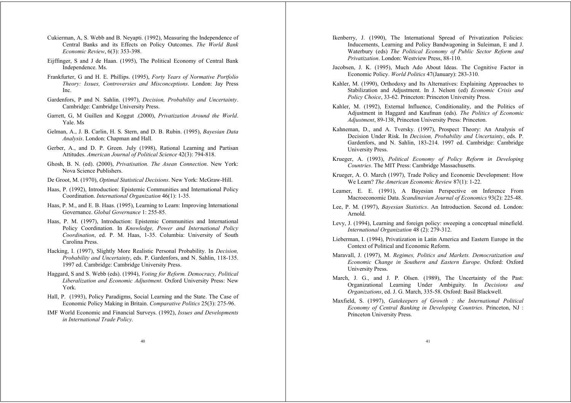- Cukierman, A, S. Webb and B. Neyapti. (1992), Measuring the Independence of Central Banks and its Effects on Policy Outcomes. *The World Bank Economic Review*, 6(3): 353-398.
- Eijffinger, S and J de Haan. (1995), The Political Economy of Central Bank Independence. Ms.
- Frankfurter, G and H. E. Phillips. (1995), *Forty Years of Normative Portfolio Theory: Issues, Controversies and Misconceptions*. London: Jay Press Inc.
- Gardenfors, P and N. Sahlin. (1997), *Decision, Probability and Uncertainty*. Cambridge: Cambridge University Press.
- Garrett, G, M Guillen and Koggut .(2000), *Privatization Around the World*. Yale. Ms
- Gelman, A., J. B. Carlin, H. S. Stern, and D. B. Rubin. (1995), *Bayesian Data Analysis*. London: Chapman and Hall.
- Gerber, A., and D. P. Green. July (1998), Rational Learning and Partisan Attitudes. *American Journal of Political Science* 42(3): 794-818.
- Ghosh, B. N. (ed). (2000), *Privatisation. The Asean Connection*. New York: Nova Science Publishers.
- De Groot, M. (1970), *Optimal Statistical Decisions*. New York: McGraw-Hill.
- Haas, P. (1992), Introduction: Epistemic Communities and International Policy Coordination. *International Organization* 46(1): 1-35.
- Haas, P. M., and E. B. Haas. (1995), Learning to Learn: Improving International Governance. *Global Governance* 1: 255-85.
- Haas, P. M. (1997), Introduction: Epistemic Communities and International Policy Coordination. In *Knowledge, Power and International Policy Coordination*, ed. P. M. Haas, 1-35. Columbia: University of South Carolina Press.
- Hacking, I. (1997), Slightly More Realistic Personal Probability. In *Decision, Probability and Uncertainty*, eds. P. Gardenfors, and N. Sahlin, 118-135. 1997 ed. Cambridge: Cambridge University Press.
- Haggard, S and S. Webb (eds). (1994), *Voting for Reform. Democracy, Political Liberalization and Economic Adjustment*. Oxford University Press: New York.
- Hall, P. (1993), Policy Paradigms, Social Learning and the State. The Case of Economic Policy Making in Britain. *Comparative Politics* 25(3): 275-96.
- IMF World Economic and Financial Surveys. (1992), *Issues and Developments in International Trade Policy.*
- Ikenberry, J. (1990), The International Spread of Privatization Policies: Inducements, Learning and Policy Bandwagoning in Suleiman, E and J. Waterbury (eds) *The Political Economy of Public Sector Reform and Privatization*. London: Westview Press, 88-110.
- Jacobsen, J. K. (1995), Much Ado About Ideas. The Cognitive Factor in Economic Policy. *World Politics* 47(January): 283-310.
- Kahler, M. (1990), Orthodoxy and Its Alternatives: Explaining Approaches to Stabilization and Adjustment. In J. Nelson (ed) *Economic Crisis and Policy Choice*, 33-62. Princeton: Princeton University Press.
- Kahler, M. (1992), External Influence, Conditionality, and the Politics of Adjustment in Haggard and Kaufman (eds). *The Politics of Economic Adjustment*, 89-138, Princeton University Press: Princeton.
- Kahneman, D., and A. Tversky. (1997), Prospect Theory: An Analysis of Decision Under Risk. In *Decision, Probability and Uncertainty*, eds. P. Gardenfors, and N. Sahlin, 183-214. 1997 ed. Cambridge: Cambridge University Press.
- Krueger, A. (1993), *Political Economy of Policy Reform in Developing Countries*. The MIT Press: Cambridge Massachusetts.
- Krueger, A. O. March (1997), Trade Policy and Economic Development: How We Learn? *The American Economic Review* 87(1): 1-22.
- Leamer, E. E. (1991), A Bayesian Perspective on Inference From Macroeconomic Data. *Scandinavian Journal of Economics* 93(2): 225-48.
- Lee, P. M. (1997), *Bayesian Statistics*. An Introduction. Second ed. London: Arnold.
- Levy, J. (1994), Learning and foreign policy: sweeping a conceptual minefield. *International Organization* 48 (2): 279-312.
- Lieberman, I. (1994), Privatization in Latin America and Eastern Europe in the Context of Political and Economic Reform.
- Maravall, J. (1997), M. *Regimes, Politics and Markets. Democratization and Economic Change in Southern and Eastern Europe*. Oxford: Oxford University Press.
- March, J. G., and J. P. Olsen. (1989), The Uncertainty of the Past: Organizational Learning Under Ambiguity. In *Decisions and Organizations*, ed. J. G. March, 335-58. Oxford: Basil Blackwell.
- Maxfield, S. (1997), *Gatekeepers of Growth : the International Political Economy of Central Banking in Developing Countries*. Princeton, NJ : Princeton University Press.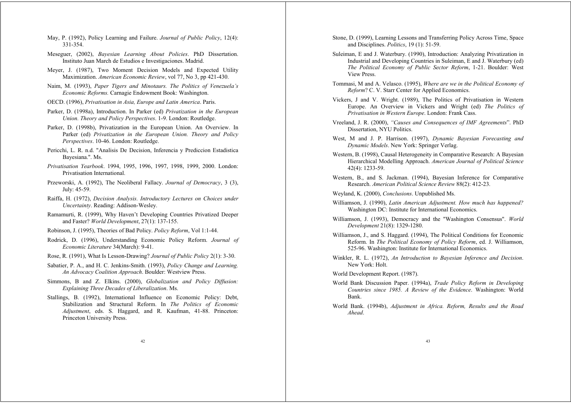- May, P. (1992), Policy Learning and Failure. *Journal of Public Policy*, 12(4): 331-354.
- Meseguer, (2002), *Bayesian Learning About Policies*. PhD Dissertation. Instituto Juan March de Estudios e Investigaciones. Madrid.
- Meyer, J. (1987), Two Moment Decision Models and Expected Utility Maximization. *American Economic Review*, vol 77, No 3, pp 421-430.
- Naim, M. (1993), *Paper Tigers and Minotaurs. The Politics of Venezuela's Economic Reforms.* Carnagie Endowment Book: Washington.
- OECD. (1996), *Privatisation in Asia, Europe and Latin America*. Paris.
- Parker, D. (1998a), Introduction. In Parker (ed) *Privatization in the European Union. Theory and Policy Perspectives*. 1-9. London: Routledge.
- Parker, D. (1998b), Privatization in the European Union. An Overview. In Parker (ed) *Privatization in the European Union. Theory and Policy Perspectives*. 10-46. London: Routledge.
- Pericchi, L. R. n.d. ''Analisis De Decision, Inferencia y Prediccion Estadistica Bayesiana.''. Ms.
- *Privatisation Yearbook*. 1994, 1995, 1996, 1997, 1998, 1999, 2000. London: Privatisation International.
- Przeworski, A. (1992), The Neoliberal Fallacy. *Journal of Democracy*, 3 (3), July: 45-59.
- Raiffa, H. (1972), *Decision Analysis. Introductory Lectures on Choices under Uncertainty*. Reading: Addison-Wesley.
- Ramamurti, R. (1999), Why Haven't Developing Countries Privatized Deeper and Faster? *World Development*, 27(1): 137-155.
- Robinson, J. (1995), Theories of Bad Policy. *Policy Reform*, Vol 1:1-44.
- Rodrick, D. (1996), Understanding Economic Policy Reform. *Journal of Economic Literature* 34(March): 9-41.
- Rose, R. (1991), What Is Lesson-Drawing? *Journal of Public Policy* 2(1): 3-30.
- Sabatier, P. A., and H. C. Jenkins-Smith. (1993), *Policy Change and Learning. An Advocacy Coalition Approach*. Boulder: Westview Press.
- Simmons, B and Z. Elkins. (2000), *Globalization and Policy Diffusion: Explaining Three Decades of Liberalization*. Ms.
- Stallings, B. (1992), International Influence on Economic Policy: Debt, Stabilization and Structural Reform. In *The Politics of Economic Adjustment*, eds. S. Haggard, and R. Kaufman, 41-88. Princeton: Princeton University Press.
- Stone, D. (1999), Learning Lessons and Transferring Policy Across Time, Space and Disciplines. *Politics*, 19 (1): 51-59.
- Suleiman, E and J. Waterbury. (1990), Introduction: Analyzing Privatization in Industrial and Developing Countries in Suleiman, E and J. Waterbury (ed) *The Political Economy of Public Sector Reform*, 1-21. Boulder: West View Press.
- Tommasi, M and A. Velasco. (1995), *Where are we in the Political Economy of Reform*? C. V. Starr Center for Applied Economics.
- Vickers, J and V. Wright. (1989), The Politics of Privatisation in Western Europe. An Overview in Vickers and Wright (ed) *The Politics of Privatisation in Western Europe*. London: Frank Cass.
- Vreeland, J. R. (2000), *"Causes and Consequences of IMF Agreements*". PhD Dissertation, NYU Politics.
- West, M and J. P. Harrison. (1997), *Dynamic Bayesian Forecasting and Dynamic Models*. New York: Springer Verlag.
- Western, B. (1998), Causal Heterogeneity in Comparative Research: A Bayesian Hierarchical Modelling Approach. *American Journal of Political Science* 42(4): 1233-59.
- Western, B., and S. Jackman. (1994), Bayesian Inference for Comparative Research. *American Political Science Review* 88(2): 412-23.
- Weyland, K. (2000), *Conclusions*. Unpublished Ms.
- Williamson, J. (1990), *Latin American Adjustment. How much has happened?* Washington DC: Institute for International Economics.
- Williamson, J. (1993), Democracy and the ''Washington Consensus''. *World Development* 21(8): 1329-1280.
- Williamson, J., and S. Haggard. (1994), The Political Conditions for Economic Reform. In *The Political Economy of Policy Reform*, ed. J. Williamson, 525-96. Washington: Institute for International Economics.
- Winkler, R. L. (1972), *An Introduction to Bayesian Inference and Decision*. New York: Holt.

World Development Report. (1987).

- World Bank Discussion Paper. (1994a), *Trade Policy Reform in Developing Countries since 1985. A Review of the Evidence*. Washington: World Bank.
- World Bank. (1994b), *Adjustment in Africa. Reform, Results and the Road Ahead*.